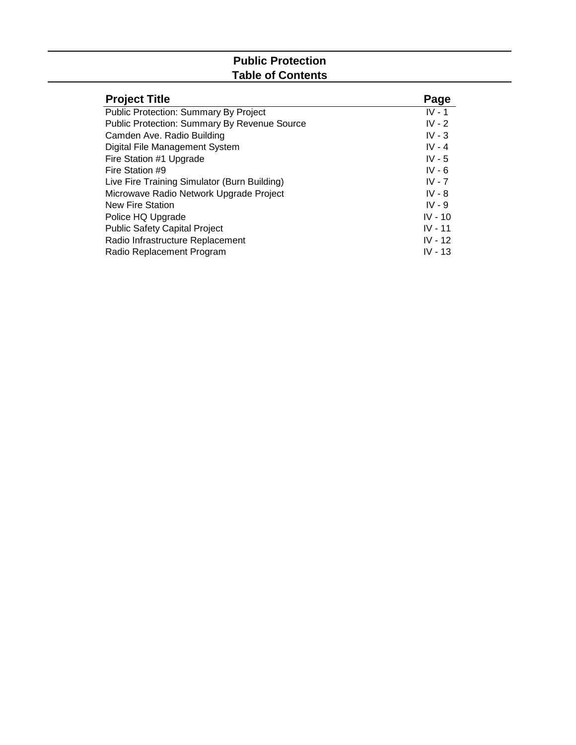# **Public Protection Table of Contents**

| <b>Project Title</b>                                | Page      |
|-----------------------------------------------------|-----------|
| <b>Public Protection: Summary By Project</b>        | $IV - 1$  |
| <b>Public Protection: Summary By Revenue Source</b> | $IV - 2$  |
| Camden Ave. Radio Building                          | $IV - 3$  |
| Digital File Management System                      | $IV - 4$  |
| Fire Station #1 Upgrade                             | $IV - 5$  |
| Fire Station #9                                     | $IV - 6$  |
| Live Fire Training Simulator (Burn Building)        | $IV - 7$  |
| Microwave Radio Network Upgrade Project             | $IV - 8$  |
| <b>New Fire Station</b>                             | $IV - 9$  |
| Police HQ Upgrade                                   | $IV - 10$ |
| <b>Public Safety Capital Project</b>                | $IV - 11$ |
| Radio Infrastructure Replacement                    | $IV - 12$ |
| Radio Replacement Program                           | $IV - 13$ |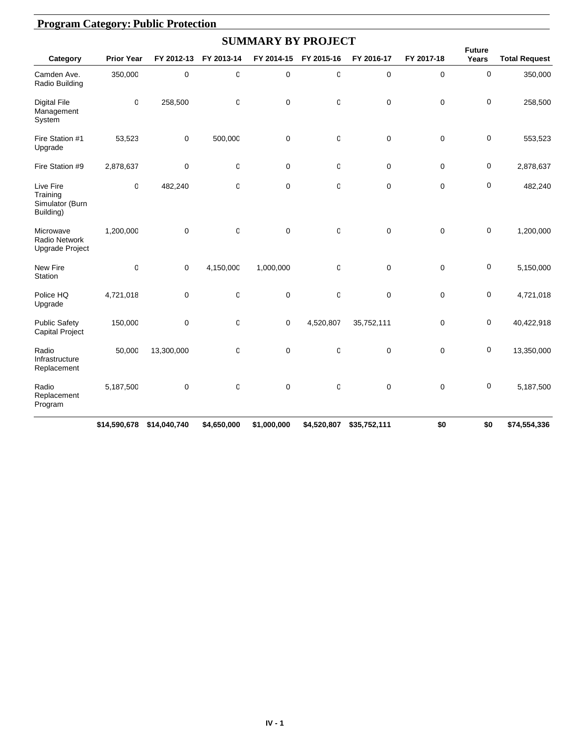|                                                             |                   |              |              | <b>SUMMARY BY PROJECT</b> |                  |              |             |                        |                      |
|-------------------------------------------------------------|-------------------|--------------|--------------|---------------------------|------------------|--------------|-------------|------------------------|----------------------|
| Category                                                    | <b>Prior Year</b> | FY 2012-13   | FY 2013-14   | FY 2014-15                | FY 2015-16       | FY 2016-17   | FY 2017-18  | <b>Future</b><br>Years | <b>Total Request</b> |
| Camden Ave.<br>Radio Building                               | 350,000           | $\mathbf 0$  | $\mathbb{C}$ | $\pmb{0}$                 | $\mathbf 0$      | 0            | $\mathbf 0$ | 0                      | 350,000              |
| <b>Digital File</b><br>Management<br>System                 | 0                 | 258,500      | $\mathbf 0$  | $\pmb{0}$                 | $\boldsymbol{0}$ | 0            | $\mathbf 0$ | $\pmb{0}$              | 258,500              |
| Fire Station #1<br>Upgrade                                  | 53,523            | $\mathbf 0$  | 500,000      | $\mathbf 0$               | 0                | $\mathbf 0$  | $\mathbf 0$ | 0                      | 553,523              |
| Fire Station #9                                             | 2,878,637         | $\mathbf 0$  | $\mathbb{C}$ | $\mathbf 0$               | 0                | 0            | 0           | $\pmb{0}$              | 2,878,637            |
| Live Fire<br>Training<br>Simulator (Burn<br>Building)       | 0                 | 482,240      | 0            | $\mathbf 0$               | 0                | 0            | $\mathbf 0$ | 0                      | 482,240              |
| Microwave<br><b>Radio Network</b><br><b>Upgrade Project</b> | 1,200,000         | $\mathbf 0$  | $\mathbf 0$  | $\mathbf 0$               | $\mathbf 0$      | $\mathbf 0$  | $\mathbf 0$ | 0                      | 1,200,000            |
| New Fire<br>Station                                         | $\mathsf 0$       | $\mathbf 0$  | 4,150,000    | 1,000,000                 | $\mathbf 0$      | 0            | $\mathbf 0$ | 0                      | 5,150,000            |
| Police HQ<br>Upgrade                                        | 4,721,018         | $\mathbf 0$  | O            | $\pmb{0}$                 | 0                | 0            | $\mathbf 0$ | $\pmb{0}$              | 4,721,018            |
| <b>Public Safety</b><br><b>Capital Project</b>              | 150,000           | $\mathbf 0$  | O            | 0                         | 4,520,807        | 35,752,111   | 0           | 0                      | 40,422,918           |
| Radio<br>Infrastructure<br>Replacement                      | 50,000            | 13,300,000   | $\mathbf 0$  | $\pmb{0}$                 | 0                | $\mathbf 0$  | 0           | 0                      | 13,350,000           |
| Radio<br>Replacement<br>Program                             | 5,187,500         | $\mathbf 0$  | 0            | $\mathbf 0$               | 0                | 0            | 0           | $\pmb{0}$              | 5,187,500            |
|                                                             | \$14,590,678      | \$14,040,740 | \$4,650,000  | \$1,000,000               | \$4,520,807      | \$35,752,111 | \$0         | \$0                    | \$74,554,336         |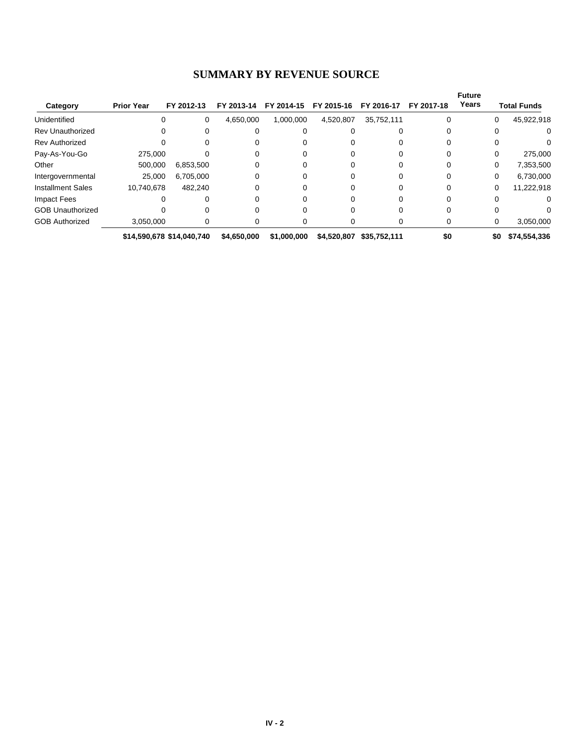#### **SUMMARY BY REVENUE SOURCE**

|                          |                           |            |             |             |             |              |            | <b>Future</b> |     |                    |
|--------------------------|---------------------------|------------|-------------|-------------|-------------|--------------|------------|---------------|-----|--------------------|
| Category                 | <b>Prior Year</b>         | FY 2012-13 | FY 2013-14  | FY 2014-15  | FY 2015-16  | FY 2016-17   | FY 2017-18 | Years         |     | <b>Total Funds</b> |
| Unidentified             | 0                         | 0          | 4.650.000   | 1.000.000   | 4,520,807   | 35,752,111   |            |               | 0   | 45,922,918         |
| <b>Rev Unauthorized</b>  | 0                         | 0          | ŋ           |             |             |              |            |               | 0   | $\Omega$           |
| <b>Rev Authorized</b>    |                           |            |             |             |             |              |            |               |     | 0                  |
| Pay-As-You-Go            | 275,000                   |            |             |             |             |              |            |               | 0   | 275,000            |
| Other                    | 500,000                   | 6,853,500  | 0           |             |             |              |            |               | 0   | 7,353,500          |
| Intergovernmental        | 25,000                    | 6.705.000  | 0           |             |             |              |            |               | 0   | 6,730,000          |
| <b>Installment Sales</b> | 10,740,678                | 482.240    | 0           |             | O           |              |            |               | 0   | 11,222,918         |
| Impact Fees              |                           | 0          | 0           |             |             |              |            |               | 0   | $\Omega$           |
| <b>GOB Unauthorized</b>  |                           |            |             |             |             |              |            |               |     | 0                  |
| <b>GOB Authorized</b>    | 3,050,000                 | 0          | 0           |             |             |              |            |               | 0   | 3,050,000          |
|                          | \$14,590,678 \$14,040,740 |            | \$4,650,000 | \$1,000,000 | \$4,520,807 | \$35,752,111 | \$0        |               | \$0 | \$74,554,336       |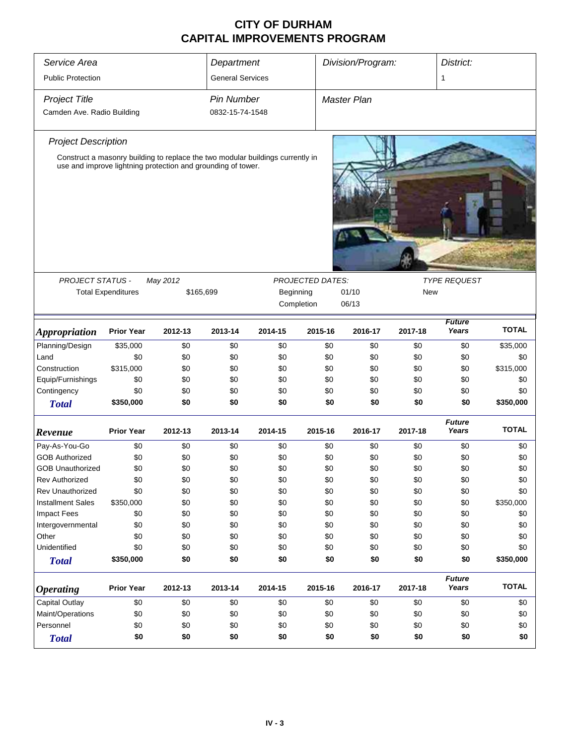| Service Area<br><b>Public Protection</b>           |                                                                                     |          | Department<br><b>General Services</b> |                                                                                |                  | Division/Program:  |            | District:<br>1         |              |
|----------------------------------------------------|-------------------------------------------------------------------------------------|----------|---------------------------------------|--------------------------------------------------------------------------------|------------------|--------------------|------------|------------------------|--------------|
| <b>Project Title</b><br>Camden Ave. Radio Building |                                                                                     |          | <b>Pin Number</b><br>0832-15-74-1548  |                                                                                |                  | <b>Master Plan</b> |            |                        |              |
| <b>Project Description</b>                         |                                                                                     |          |                                       |                                                                                |                  |                    |            |                        |              |
|                                                    | use and improve lightning protection and grounding of tower.                        |          |                                       | Construct a masonry building to replace the two modular buildings currently in |                  |                    |            |                        |              |
| <b>PROJECT STATUS -</b>                            |                                                                                     | May 2012 |                                       |                                                                                | PROJECTED DATES: |                    |            | <b>TYPE REQUEST</b>    |              |
|                                                    | <b>Total Expenditures</b><br>\$165,699<br>Beginning<br>01/10<br>Completion<br>06/13 |          |                                       |                                                                                |                  |                    | <b>New</b> |                        |              |
| <b>Appropriation</b>                               | <b>Prior Year</b>                                                                   | 2012-13  | 2013-14                               | 2014-15                                                                        | 2015-16          | 2016-17            | 2017-18    | <b>Future</b><br>Years | <b>TOTAL</b> |
| Planning/Design                                    | \$35,000                                                                            | \$0      | \$0                                   | \$0                                                                            | \$0              | \$0                | \$0        | \$0                    | \$35,000     |
| Land                                               | \$0                                                                                 | \$0      | \$0                                   | \$0                                                                            | \$0              | \$0                | \$0        | \$0                    | \$0          |
| Construction                                       | \$315,000                                                                           | \$0      | \$0                                   | \$0                                                                            | \$0              | \$0                | \$0        | \$0                    | \$315,000    |
| Equip/Furnishings                                  | \$0                                                                                 | \$0      | \$0                                   | \$0                                                                            | \$0              | \$0                | \$0        | \$0                    | \$0          |
| Contingency                                        | \$0                                                                                 | \$0      | \$0                                   | \$0                                                                            | \$0              | \$0                | \$0        | \$0                    | \$0          |
| <b>Total</b>                                       | \$350,000                                                                           | \$0      | \$0                                   | \$0                                                                            | \$0              | \$0                | \$0        | \$0                    | \$350,000    |
| Revenue                                            | <b>Prior Year</b>                                                                   | 2012-13  | 2013-14                               | 2014-15                                                                        | 2015-16          | 2016-17            | 2017-18    | <b>Future</b><br>Years | <b>TOTAL</b> |
| Pay-As-You-Go                                      | \$0                                                                                 | \$0      | \$0                                   | \$0                                                                            | \$0              | \$0                | \$0        | \$0                    | \$0          |
| <b>GOB Authorized</b>                              | \$0                                                                                 | \$0      | \$0                                   | \$0                                                                            | \$0              | \$0                | \$0        | \$0                    | \$0          |
| <b>GOB Unauthorized</b>                            | \$0                                                                                 | \$0      | \$0                                   | \$0                                                                            | \$0              | \$0                | \$0        | \$0                    | \$0          |
| Rev Authorized                                     | \$0                                                                                 | \$0      | \$0                                   | \$0                                                                            | \$0              | \$0                | \$0        | \$0                    | \$0          |
| <b>Rev Unauthorized</b>                            | \$0                                                                                 | \$0      | \$0                                   | \$0                                                                            | \$0              | \$0                | \$0        | \$0                    | \$0          |
| <b>Installment Sales</b>                           | \$350,000                                                                           | \$0      | \$0                                   | \$0                                                                            | \$0              | \$0                | \$0        | \$0                    | \$350,000    |
| <b>Impact Fees</b>                                 | \$0                                                                                 | \$0      | \$0                                   | \$0                                                                            | \$0              | \$0                | \$0        | \$0                    | \$0          |
| Intergovernmental                                  | \$0                                                                                 | \$0      | \$0                                   | \$0                                                                            | \$0              | \$0                | \$0        | \$0                    | \$0          |
| Other                                              | \$0                                                                                 | \$0      | \$0                                   | \$0                                                                            | \$0              | \$0                | \$0        | \$0                    | \$0          |
| Unidentified                                       | \$0                                                                                 | \$0      | \$0                                   | \$0                                                                            | \$0              | \$0                | \$0        | \$0                    | \$0          |
| <b>Total</b>                                       | \$350,000                                                                           | \$0      | \$0                                   | \$0                                                                            | \$0              | \$0                | \$0        | \$0                    | \$350,000    |
| <b>Operating</b>                                   | <b>Prior Year</b>                                                                   | 2012-13  | 2013-14                               | 2014-15                                                                        | 2015-16          | 2016-17            | 2017-18    | <b>Future</b><br>Years | <b>TOTAL</b> |
| Capital Outlay                                     | \$0                                                                                 | \$0      | \$0                                   | \$0                                                                            | \$0              | \$0                | \$0        | \$0                    | \$0          |
| Maint/Operations                                   | \$0                                                                                 | \$0      | \$0                                   | \$0                                                                            | \$0              | \$0                | \$0        | \$0                    | \$0          |
| Personnel                                          | \$0                                                                                 | \$0      | \$0                                   | \$0                                                                            | \$0              | \$0                | \$0        | \$0                    | \$0          |
| <b>Total</b>                                       | \$0                                                                                 | \$0      | \$0                                   | \$0                                                                            | \$0              | \$0                | \$0        | \$0                    | \$0          |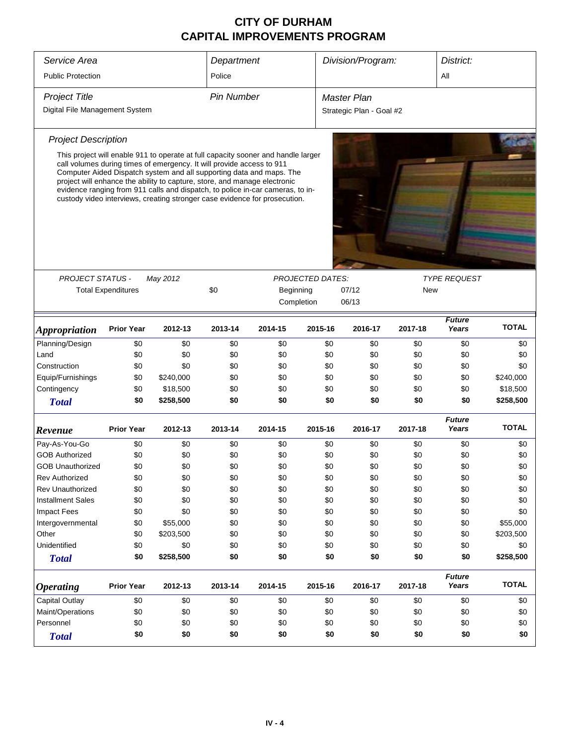| Service Area                   |                           |                                                                                                                                                                                                                                                                                                                                                                                                                                                                                 | Department        |                                                |            | Division/Program:        |         | District:              |              |  |
|--------------------------------|---------------------------|---------------------------------------------------------------------------------------------------------------------------------------------------------------------------------------------------------------------------------------------------------------------------------------------------------------------------------------------------------------------------------------------------------------------------------------------------------------------------------|-------------------|------------------------------------------------|------------|--------------------------|---------|------------------------|--------------|--|
| <b>Public Protection</b>       |                           |                                                                                                                                                                                                                                                                                                                                                                                                                                                                                 | Police            |                                                |            |                          |         | All                    |              |  |
|                                |                           |                                                                                                                                                                                                                                                                                                                                                                                                                                                                                 |                   |                                                |            |                          |         |                        |              |  |
| <b>Project Title</b>           |                           |                                                                                                                                                                                                                                                                                                                                                                                                                                                                                 | <b>Pin Number</b> |                                                |            | <b>Master Plan</b>       |         |                        |              |  |
| Digital File Management System |                           |                                                                                                                                                                                                                                                                                                                                                                                                                                                                                 |                   |                                                |            | Strategic Plan - Goal #2 |         |                        |              |  |
| <b>Project Description</b>     |                           |                                                                                                                                                                                                                                                                                                                                                                                                                                                                                 |                   |                                                |            |                          |         |                        |              |  |
|                                |                           |                                                                                                                                                                                                                                                                                                                                                                                                                                                                                 |                   |                                                |            |                          |         |                        |              |  |
|                                |                           | This project will enable 911 to operate at full capacity sooner and handle larger<br>call volumes during times of emergency. It will provide access to 911<br>Computer Aided Dispatch system and all supporting data and maps. The<br>project will enhance the ability to capture, store, and manage electronic<br>evidence ranging from 911 calls and dispatch, to police in-car cameras, to in-<br>custody video interviews, creating stronger case evidence for prosecution. |                   |                                                |            |                          |         |                        |              |  |
|                                |                           |                                                                                                                                                                                                                                                                                                                                                                                                                                                                                 |                   |                                                |            |                          |         |                        |              |  |
| <b>PROJECT STATUS -</b>        |                           | May 2012                                                                                                                                                                                                                                                                                                                                                                                                                                                                        |                   | <b>TYPE REQUEST</b><br><b>PROJECTED DATES:</b> |            |                          |         |                        |              |  |
|                                | <b>Total Expenditures</b> |                                                                                                                                                                                                                                                                                                                                                                                                                                                                                 | \$0               | Beginning                                      |            | 07/12                    | New     |                        |              |  |
|                                |                           |                                                                                                                                                                                                                                                                                                                                                                                                                                                                                 |                   |                                                | Completion | 06/13                    |         |                        |              |  |
| <i><b>Appropriation</b></i>    | <b>Prior Year</b>         | 2012-13                                                                                                                                                                                                                                                                                                                                                                                                                                                                         | 2013-14           | 2014-15                                        | 2015-16    | 2016-17                  | 2017-18 | <b>Future</b><br>Years | <b>TOTAL</b> |  |
| Planning/Design                | \$0                       | \$0                                                                                                                                                                                                                                                                                                                                                                                                                                                                             | \$0               | \$0                                            | \$0        | \$0                      | \$0     | \$0                    | \$0          |  |
| Land                           | \$0                       | \$0                                                                                                                                                                                                                                                                                                                                                                                                                                                                             | \$0               | \$0                                            | \$0        | \$0                      | \$0     | \$0                    | \$0          |  |
| Construction                   | \$0                       | \$0                                                                                                                                                                                                                                                                                                                                                                                                                                                                             | \$0               | \$0                                            | \$0        | \$0                      | \$0     | \$0                    | \$0          |  |
| Equip/Furnishings              | \$0                       | \$240,000                                                                                                                                                                                                                                                                                                                                                                                                                                                                       | \$0               | \$0                                            | \$0        | \$0                      | \$0     | \$0                    | \$240,000    |  |
| Contingency                    | \$0                       | \$18,500                                                                                                                                                                                                                                                                                                                                                                                                                                                                        | \$0               | \$0                                            | \$0        | \$0                      | \$0     | \$0                    | \$18,500     |  |
| <b>Total</b>                   | \$0                       | \$258,500                                                                                                                                                                                                                                                                                                                                                                                                                                                                       | \$0               | \$0                                            | \$0        | \$0                      | \$0     | \$0                    | \$258,500    |  |
| Revenue                        | <b>Prior Year</b>         | 2012-13                                                                                                                                                                                                                                                                                                                                                                                                                                                                         | 2013-14           | 2014-15                                        | 2015-16    | 2016-17                  | 2017-18 | <b>Future</b><br>Years | <b>TOTAL</b> |  |
| Pay-As-You-Go                  | \$0                       | \$0                                                                                                                                                                                                                                                                                                                                                                                                                                                                             | \$0               | \$0                                            | \$0        | \$0                      | \$0     | \$0                    | \$0          |  |
| <b>GOB Authorized</b>          | \$0                       | \$0                                                                                                                                                                                                                                                                                                                                                                                                                                                                             | \$0               | \$0                                            | \$0        | \$0                      | \$0     | \$0                    | \$0          |  |
| <b>GOB Unauthorized</b>        | \$0                       | \$0                                                                                                                                                                                                                                                                                                                                                                                                                                                                             | \$0               | \$0                                            | \$0        | \$0                      | \$0     | \$0                    | \$0          |  |
| <b>Rev Authorized</b>          | \$0                       | \$0                                                                                                                                                                                                                                                                                                                                                                                                                                                                             | \$0               | \$0                                            | \$0        | \$0                      | \$0     | \$0                    | \$0          |  |
| <b>Rev Unauthorized</b>        | \$0                       | \$0                                                                                                                                                                                                                                                                                                                                                                                                                                                                             | \$0               | \$0                                            | \$0        | \$0                      | \$0     | \$0                    | \$0          |  |
| <b>Installment Sales</b>       | \$0                       | \$0                                                                                                                                                                                                                                                                                                                                                                                                                                                                             | \$0               | \$0                                            | \$0        | \$0                      | \$0     | \$0                    | \$0          |  |
| Impact Fees                    | \$0                       | \$0                                                                                                                                                                                                                                                                                                                                                                                                                                                                             | \$0               | \$0                                            | \$0        | \$0                      | \$0     | \$0                    | \$0          |  |
| Intergovernmental              | \$0                       | \$55,000                                                                                                                                                                                                                                                                                                                                                                                                                                                                        | \$0               | \$0                                            | \$0        | \$0                      | \$0     | \$0                    | \$55,000     |  |
| Other                          | \$0                       | \$203,500                                                                                                                                                                                                                                                                                                                                                                                                                                                                       | \$0               | \$0                                            | \$0        | \$0                      | \$0     | \$0                    | \$203,500    |  |
| Unidentified                   | \$0                       | \$0                                                                                                                                                                                                                                                                                                                                                                                                                                                                             | \$0               | \$0                                            | \$0        | \$0                      | \$0     | \$0                    | \$0          |  |
| <b>Total</b>                   | \$0                       | \$258,500                                                                                                                                                                                                                                                                                                                                                                                                                                                                       | \$0               | \$0                                            | \$0        | \$0                      | \$0     | \$0                    | \$258,500    |  |
| <b>Operating</b>               | <b>Prior Year</b>         | 2012-13                                                                                                                                                                                                                                                                                                                                                                                                                                                                         | 2013-14           | 2014-15                                        | 2015-16    | 2016-17                  | 2017-18 | <b>Future</b><br>Years | <b>TOTAL</b> |  |
| Capital Outlay                 | \$0                       | \$0                                                                                                                                                                                                                                                                                                                                                                                                                                                                             | \$0               | \$0                                            | \$0        | \$0                      | \$0     | \$0                    | \$0          |  |
| Maint/Operations               | \$0                       | \$0                                                                                                                                                                                                                                                                                                                                                                                                                                                                             | \$0               | \$0                                            | \$0        | \$0                      | \$0     | \$0                    | \$0          |  |
| Personnel                      | \$0                       | \$0                                                                                                                                                                                                                                                                                                                                                                                                                                                                             | \$0               | \$0                                            | \$0        | \$0                      | \$0     | \$0                    | \$0          |  |
| <b>Total</b>                   | \$0                       | \$0                                                                                                                                                                                                                                                                                                                                                                                                                                                                             | \$0               | \$0                                            | \$0        | \$0                      | \$0     | \$0                    | \$0          |  |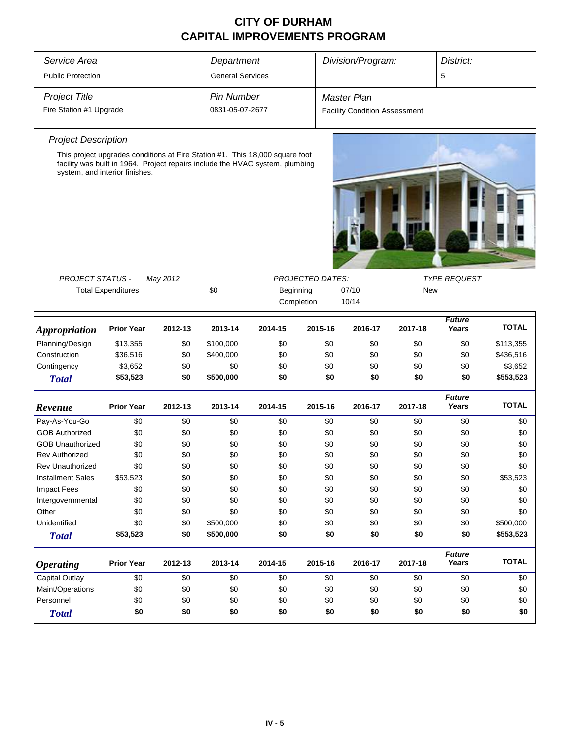| Service Area<br>Department     |                           |          |                         |                                                                                                                                                               |                                                                                    | Division/Program:                    |         | District:              |              |
|--------------------------------|---------------------------|----------|-------------------------|---------------------------------------------------------------------------------------------------------------------------------------------------------------|------------------------------------------------------------------------------------|--------------------------------------|---------|------------------------|--------------|
| <b>Public Protection</b>       |                           |          | <b>General Services</b> |                                                                                                                                                               |                                                                                    |                                      |         | 5                      |              |
| <b>Project Title</b>           |                           |          | <b>Pin Number</b>       |                                                                                                                                                               |                                                                                    | <b>Master Plan</b>                   |         |                        |              |
| Fire Station #1 Upgrade        |                           |          | 0831-05-07-2677         |                                                                                                                                                               |                                                                                    | <b>Facility Condition Assessment</b> |         |                        |              |
| <b>Project Description</b>     |                           |          |                         |                                                                                                                                                               |                                                                                    |                                      |         |                        |              |
| system, and interior finishes. |                           |          |                         | This project upgrades conditions at Fire Station #1. This 18,000 square foot<br>facility was built in 1964. Project repairs include the HVAC system, plumbing |                                                                                    |                                      |         |                        |              |
| <b>PROJECT STATUS -</b>        |                           | May 2012 |                         |                                                                                                                                                               |                                                                                    |                                      |         | <b>TYPE REQUEST</b>    |              |
|                                | <b>Total Expenditures</b> |          | \$0                     |                                                                                                                                                               | <b>PROJECTED DATES:</b><br>Beginning<br>07/10<br><b>New</b><br>10/14<br>Completion |                                      |         |                        |              |
| <b>Appropriation</b>           | <b>Prior Year</b>         | 2012-13  | 2013-14                 | 2014-15                                                                                                                                                       | 2015-16                                                                            | 2016-17                              | 2017-18 | <b>Future</b><br>Years | <b>TOTAL</b> |
| Planning/Design                | \$13,355                  | \$0      | \$100,000               | \$0                                                                                                                                                           | \$0                                                                                | \$0                                  | \$0     | \$0                    | \$113,355    |
| Construction                   | \$36,516                  | \$0      | \$400,000               | \$0                                                                                                                                                           | \$0                                                                                | \$0                                  | \$0     | \$0                    | \$436,516    |
| Contingency                    | \$3,652                   | \$0      | \$0                     | \$0                                                                                                                                                           | \$0                                                                                | \$0                                  | \$0     | \$0                    | \$3,652      |
| <b>Total</b>                   | \$53,523                  | \$0      | \$500,000               | \$0                                                                                                                                                           | \$0                                                                                | \$0                                  | \$0     | \$0                    | \$553,523    |
| Revenue                        | <b>Prior Year</b>         | 2012-13  | 2013-14                 | 2014-15                                                                                                                                                       | 2015-16                                                                            | 2016-17                              | 2017-18 | <b>Future</b><br>Years | <b>TOTAL</b> |
| Pay-As-You-Go                  | \$0                       | \$0      | \$0                     | \$0                                                                                                                                                           | \$0                                                                                | \$0                                  | \$0     | \$0                    | \$0          |
| <b>GOB Authorized</b>          | \$0                       | \$0      | \$0                     | \$0                                                                                                                                                           | \$0                                                                                | \$0                                  | \$0     | \$0                    | \$0          |
| <b>GOB Unauthorized</b>        | \$0                       | \$0      | \$0                     | \$0                                                                                                                                                           | \$0                                                                                | \$0                                  | \$0     | \$0                    | \$0          |
| Rev Authorized                 | \$0                       | \$0      | \$0                     | \$0                                                                                                                                                           | \$0                                                                                | \$0                                  | \$0     | \$0                    | \$0          |
| Rev Unauthorized               | \$0                       | \$0      | \$0                     | \$0                                                                                                                                                           | \$0                                                                                | \$0                                  | \$0     | \$0                    | \$0          |
| <b>Installment Sales</b>       | \$53,523                  | \$0      | \$0                     | \$0                                                                                                                                                           | \$0                                                                                | \$0                                  | \$0     | \$0                    | \$53,523     |
| <b>Impact Fees</b>             | \$0                       | \$0      | \$0                     | \$0                                                                                                                                                           | \$0                                                                                | \$0                                  | \$0     | \$0                    | \$0          |
| Intergovernmental              | \$0                       | \$0      | \$0                     | \$0                                                                                                                                                           | \$0                                                                                | \$0                                  | \$0     | \$0                    | \$0          |
| Other                          | \$0                       | \$0      | \$0                     | \$0                                                                                                                                                           | \$0                                                                                | \$0                                  | \$0     | \$0                    | \$0          |
| Unidentified                   | \$0                       | \$0      | \$500,000               | \$0                                                                                                                                                           | \$0                                                                                | \$0                                  | \$0     | \$0                    | \$500,000    |
| <b>Total</b>                   | \$53,523                  | \$0      | \$500,000               | \$0                                                                                                                                                           | \$0                                                                                | \$0                                  | \$0     | \$0                    | \$553,523    |
| <b>Operating</b>               | <b>Prior Year</b>         | 2012-13  | 2013-14                 | 2014-15                                                                                                                                                       | 2015-16                                                                            | 2016-17                              | 2017-18 | <b>Future</b><br>Years | <b>TOTAL</b> |
| Capital Outlay                 | \$0                       | \$0      | \$0                     | \$0                                                                                                                                                           | \$0                                                                                | \$0                                  | \$0     | \$0                    | \$0          |
| Maint/Operations               | \$0                       | \$0      | \$0                     | \$0                                                                                                                                                           | \$0                                                                                | \$0                                  | \$0     | \$0                    | \$0          |
| Personnel                      | \$0                       | \$0      | \$0                     | \$0                                                                                                                                                           | \$0                                                                                | \$0                                  | \$0     | \$0                    | \$0          |
| <b>Total</b>                   | \$0                       | \$0      | \$0                     | \$0                                                                                                                                                           | \$0                                                                                | \$0                                  | \$0     | \$0                    | \$0          |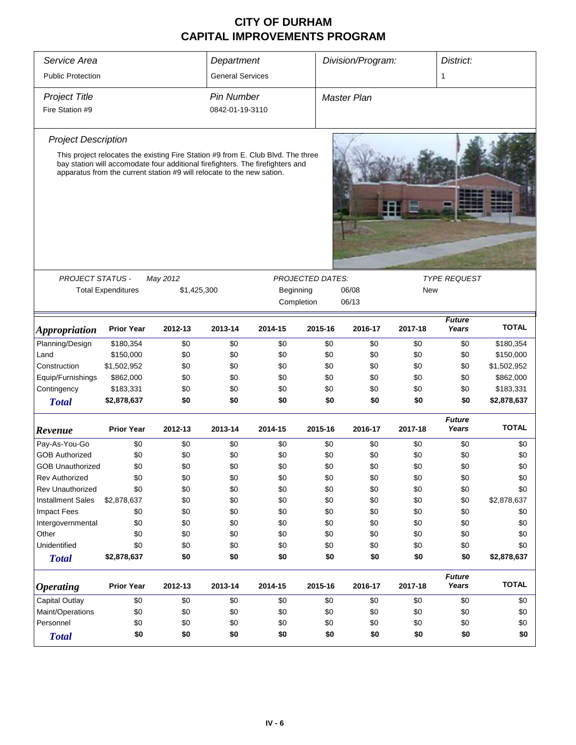| Service Area<br>Department<br>Division/Program:<br>District:<br><b>General Services</b><br><b>Public Protection</b><br>1<br><b>Pin Number</b><br><b>Project Title</b><br><b>Master Plan</b><br>Fire Station #9<br>0842-01-19-3110<br><b>Project Description</b><br>This project relocates the existing Fire Station #9 from E. Club Blvd. The three<br>bay station will accomodate four additional firefighters. The firefighters and<br>apparatus from the current station #9 will relocate to the new sation.<br>PROJECT STATUS -<br>PROJECTED DATES:<br>May 2012<br><b>TYPE REQUEST</b><br><b>Total Expenditures</b><br>\$1,425,300<br>Beginning<br>06/08<br>New<br>Completion<br>06/13<br><b>Future</b><br><b>TOTAL</b><br>2013-14<br>2017-18<br>Years<br><b>Prior Year</b><br>2012-13<br>2014-15<br>2015-16<br>2016-17<br><i><b>Appropriation</b></i><br>Planning/Design<br>\$0<br>\$0<br>\$180,354<br>\$0<br>\$0<br>\$0<br>\$0<br>\$0<br>\$180,354<br>\$150,000<br>\$0<br>\$0<br>Land<br>\$0<br>\$0<br>\$0<br>\$0<br>\$0<br>\$150,000<br>\$0<br>Construction<br>\$1,502,952<br>\$0<br>\$0<br>\$0<br>\$0<br>\$0<br>\$0<br>\$1,502,952<br>\$0<br>Equip/Furnishings<br>\$862,000<br>\$0<br>\$0<br>\$0<br>\$0<br>\$0<br>\$0<br>\$862,000<br>\$0<br>Contingency<br>\$183,331<br>\$0<br>\$0<br>\$0<br>\$0<br>\$0<br>\$0<br>\$183,331<br>\$0<br>\$0<br>\$2,878,637<br>\$0<br>\$0<br>\$0<br>\$0<br>\$0<br>\$2,878,637<br><b>Total</b><br><b>Future</b><br><b>TOTAL</b><br>Years<br><b>Prior Year</b><br>2012-13<br>2013-14<br>2014-15<br>2015-16<br>2016-17<br>2017-18<br>Revenue<br>Pay-As-You-Go<br>\$0<br>\$0<br>\$0<br>\$0<br>\$0<br>\$0<br>\$0<br>\$0<br>\$0<br><b>GOB Authorized</b><br>\$0<br>\$0<br>\$0<br>\$0<br>\$0<br>\$0<br>\$0<br>\$0<br>\$0<br>\$0<br>\$0<br>\$0<br>\$0<br>\$0<br>\$0<br>\$0<br>\$0<br>\$0<br><b>GOB Unauthorized</b><br>\$0<br>\$0<br>\$0<br>\$0<br>\$0<br>\$0<br>\$0<br>\$0<br><b>Rev Authorized</b><br>\$0<br>Rev Unauthorized<br>\$0<br>\$0<br>\$0<br>\$0<br>\$0<br>\$0<br>\$0<br>\$0<br>\$0<br><b>Installment Sales</b><br>\$0<br>\$0<br>\$2,878,637<br>\$2,878,637<br>\$0<br>\$0<br>\$0<br>\$0<br>\$0<br>Impact Fees<br>\$0<br>\$0<br>\$0<br>\$0<br>\$0<br>\$0<br>\$0<br>\$0<br>\$0<br>Intergovernmental<br>\$0<br>\$0<br>\$0<br>\$0<br>\$0<br>\$0<br>\$0<br>\$0<br>\$0<br>Other<br>\$0<br>\$0<br>\$0<br>\$0<br>\$0<br>\$0<br>\$0<br>\$0<br>\$0<br>Unidentified<br>\$0<br>\$0<br>\$0<br>\$0<br>\$0<br>\$0<br>\$0<br>\$0<br>\$0<br>\$0<br>\$0<br>\$0<br>\$0<br>\$2,878,637<br>\$0<br>\$0<br>\$0<br>\$2,878,637<br><b>Total</b><br><b>Future</b><br><b>TOTAL</b><br><b>Prior Year</b><br>2017-18<br>Years<br>2012-13<br>2013-14<br>2014-15<br>2015-16<br>2016-17<br><i><b>Operating</b></i><br>Capital Outlay<br>\$0<br>\$0<br>\$0<br>\$0<br>\$0<br>\$0<br>\$0<br>\$0<br>\$0<br>Maint/Operations<br>\$0<br>\$0<br>\$0<br>\$0<br>\$0<br>\$0<br>\$0<br>\$0<br>\$0<br>Personnel<br>\$0<br>\$0<br>\$0<br>\$0<br>\$0<br>\$0<br>\$0<br>\$0<br>\$0<br>\$0<br>\$0<br>\$0<br>\$0<br>\$0<br>\$0<br>\$0<br>\$0<br>\$0<br><b>Total</b> |  |  |  |  |  |  |  |  |
|------------------------------------------------------------------------------------------------------------------------------------------------------------------------------------------------------------------------------------------------------------------------------------------------------------------------------------------------------------------------------------------------------------------------------------------------------------------------------------------------------------------------------------------------------------------------------------------------------------------------------------------------------------------------------------------------------------------------------------------------------------------------------------------------------------------------------------------------------------------------------------------------------------------------------------------------------------------------------------------------------------------------------------------------------------------------------------------------------------------------------------------------------------------------------------------------------------------------------------------------------------------------------------------------------------------------------------------------------------------------------------------------------------------------------------------------------------------------------------------------------------------------------------------------------------------------------------------------------------------------------------------------------------------------------------------------------------------------------------------------------------------------------------------------------------------------------------------------------------------------------------------------------------------------------------------------------------------------------------------------------------------------------------------------------------------------------------------------------------------------------------------------------------------------------------------------------------------------------------------------------------------------------------------------------------------------------------------------------------------------------------------------------------------------------------------------------------------------------------------------------------------------------------------------------------------------------------------------------------------------------------------------------------------------------------------------------------------------------------------------------------------------------------------------------------------------------------------------------------------------------------------------------------------------------------------------------------------------------------------------------------------------------------------------------------|--|--|--|--|--|--|--|--|
|                                                                                                                                                                                                                                                                                                                                                                                                                                                                                                                                                                                                                                                                                                                                                                                                                                                                                                                                                                                                                                                                                                                                                                                                                                                                                                                                                                                                                                                                                                                                                                                                                                                                                                                                                                                                                                                                                                                                                                                                                                                                                                                                                                                                                                                                                                                                                                                                                                                                                                                                                                                                                                                                                                                                                                                                                                                                                                                                                                                                                                                            |  |  |  |  |  |  |  |  |
|                                                                                                                                                                                                                                                                                                                                                                                                                                                                                                                                                                                                                                                                                                                                                                                                                                                                                                                                                                                                                                                                                                                                                                                                                                                                                                                                                                                                                                                                                                                                                                                                                                                                                                                                                                                                                                                                                                                                                                                                                                                                                                                                                                                                                                                                                                                                                                                                                                                                                                                                                                                                                                                                                                                                                                                                                                                                                                                                                                                                                                                            |  |  |  |  |  |  |  |  |
|                                                                                                                                                                                                                                                                                                                                                                                                                                                                                                                                                                                                                                                                                                                                                                                                                                                                                                                                                                                                                                                                                                                                                                                                                                                                                                                                                                                                                                                                                                                                                                                                                                                                                                                                                                                                                                                                                                                                                                                                                                                                                                                                                                                                                                                                                                                                                                                                                                                                                                                                                                                                                                                                                                                                                                                                                                                                                                                                                                                                                                                            |  |  |  |  |  |  |  |  |
|                                                                                                                                                                                                                                                                                                                                                                                                                                                                                                                                                                                                                                                                                                                                                                                                                                                                                                                                                                                                                                                                                                                                                                                                                                                                                                                                                                                                                                                                                                                                                                                                                                                                                                                                                                                                                                                                                                                                                                                                                                                                                                                                                                                                                                                                                                                                                                                                                                                                                                                                                                                                                                                                                                                                                                                                                                                                                                                                                                                                                                                            |  |  |  |  |  |  |  |  |
|                                                                                                                                                                                                                                                                                                                                                                                                                                                                                                                                                                                                                                                                                                                                                                                                                                                                                                                                                                                                                                                                                                                                                                                                                                                                                                                                                                                                                                                                                                                                                                                                                                                                                                                                                                                                                                                                                                                                                                                                                                                                                                                                                                                                                                                                                                                                                                                                                                                                                                                                                                                                                                                                                                                                                                                                                                                                                                                                                                                                                                                            |  |  |  |  |  |  |  |  |
|                                                                                                                                                                                                                                                                                                                                                                                                                                                                                                                                                                                                                                                                                                                                                                                                                                                                                                                                                                                                                                                                                                                                                                                                                                                                                                                                                                                                                                                                                                                                                                                                                                                                                                                                                                                                                                                                                                                                                                                                                                                                                                                                                                                                                                                                                                                                                                                                                                                                                                                                                                                                                                                                                                                                                                                                                                                                                                                                                                                                                                                            |  |  |  |  |  |  |  |  |
|                                                                                                                                                                                                                                                                                                                                                                                                                                                                                                                                                                                                                                                                                                                                                                                                                                                                                                                                                                                                                                                                                                                                                                                                                                                                                                                                                                                                                                                                                                                                                                                                                                                                                                                                                                                                                                                                                                                                                                                                                                                                                                                                                                                                                                                                                                                                                                                                                                                                                                                                                                                                                                                                                                                                                                                                                                                                                                                                                                                                                                                            |  |  |  |  |  |  |  |  |
|                                                                                                                                                                                                                                                                                                                                                                                                                                                                                                                                                                                                                                                                                                                                                                                                                                                                                                                                                                                                                                                                                                                                                                                                                                                                                                                                                                                                                                                                                                                                                                                                                                                                                                                                                                                                                                                                                                                                                                                                                                                                                                                                                                                                                                                                                                                                                                                                                                                                                                                                                                                                                                                                                                                                                                                                                                                                                                                                                                                                                                                            |  |  |  |  |  |  |  |  |
|                                                                                                                                                                                                                                                                                                                                                                                                                                                                                                                                                                                                                                                                                                                                                                                                                                                                                                                                                                                                                                                                                                                                                                                                                                                                                                                                                                                                                                                                                                                                                                                                                                                                                                                                                                                                                                                                                                                                                                                                                                                                                                                                                                                                                                                                                                                                                                                                                                                                                                                                                                                                                                                                                                                                                                                                                                                                                                                                                                                                                                                            |  |  |  |  |  |  |  |  |
|                                                                                                                                                                                                                                                                                                                                                                                                                                                                                                                                                                                                                                                                                                                                                                                                                                                                                                                                                                                                                                                                                                                                                                                                                                                                                                                                                                                                                                                                                                                                                                                                                                                                                                                                                                                                                                                                                                                                                                                                                                                                                                                                                                                                                                                                                                                                                                                                                                                                                                                                                                                                                                                                                                                                                                                                                                                                                                                                                                                                                                                            |  |  |  |  |  |  |  |  |
|                                                                                                                                                                                                                                                                                                                                                                                                                                                                                                                                                                                                                                                                                                                                                                                                                                                                                                                                                                                                                                                                                                                                                                                                                                                                                                                                                                                                                                                                                                                                                                                                                                                                                                                                                                                                                                                                                                                                                                                                                                                                                                                                                                                                                                                                                                                                                                                                                                                                                                                                                                                                                                                                                                                                                                                                                                                                                                                                                                                                                                                            |  |  |  |  |  |  |  |  |
|                                                                                                                                                                                                                                                                                                                                                                                                                                                                                                                                                                                                                                                                                                                                                                                                                                                                                                                                                                                                                                                                                                                                                                                                                                                                                                                                                                                                                                                                                                                                                                                                                                                                                                                                                                                                                                                                                                                                                                                                                                                                                                                                                                                                                                                                                                                                                                                                                                                                                                                                                                                                                                                                                                                                                                                                                                                                                                                                                                                                                                                            |  |  |  |  |  |  |  |  |
|                                                                                                                                                                                                                                                                                                                                                                                                                                                                                                                                                                                                                                                                                                                                                                                                                                                                                                                                                                                                                                                                                                                                                                                                                                                                                                                                                                                                                                                                                                                                                                                                                                                                                                                                                                                                                                                                                                                                                                                                                                                                                                                                                                                                                                                                                                                                                                                                                                                                                                                                                                                                                                                                                                                                                                                                                                                                                                                                                                                                                                                            |  |  |  |  |  |  |  |  |
|                                                                                                                                                                                                                                                                                                                                                                                                                                                                                                                                                                                                                                                                                                                                                                                                                                                                                                                                                                                                                                                                                                                                                                                                                                                                                                                                                                                                                                                                                                                                                                                                                                                                                                                                                                                                                                                                                                                                                                                                                                                                                                                                                                                                                                                                                                                                                                                                                                                                                                                                                                                                                                                                                                                                                                                                                                                                                                                                                                                                                                                            |  |  |  |  |  |  |  |  |
|                                                                                                                                                                                                                                                                                                                                                                                                                                                                                                                                                                                                                                                                                                                                                                                                                                                                                                                                                                                                                                                                                                                                                                                                                                                                                                                                                                                                                                                                                                                                                                                                                                                                                                                                                                                                                                                                                                                                                                                                                                                                                                                                                                                                                                                                                                                                                                                                                                                                                                                                                                                                                                                                                                                                                                                                                                                                                                                                                                                                                                                            |  |  |  |  |  |  |  |  |
|                                                                                                                                                                                                                                                                                                                                                                                                                                                                                                                                                                                                                                                                                                                                                                                                                                                                                                                                                                                                                                                                                                                                                                                                                                                                                                                                                                                                                                                                                                                                                                                                                                                                                                                                                                                                                                                                                                                                                                                                                                                                                                                                                                                                                                                                                                                                                                                                                                                                                                                                                                                                                                                                                                                                                                                                                                                                                                                                                                                                                                                            |  |  |  |  |  |  |  |  |
|                                                                                                                                                                                                                                                                                                                                                                                                                                                                                                                                                                                                                                                                                                                                                                                                                                                                                                                                                                                                                                                                                                                                                                                                                                                                                                                                                                                                                                                                                                                                                                                                                                                                                                                                                                                                                                                                                                                                                                                                                                                                                                                                                                                                                                                                                                                                                                                                                                                                                                                                                                                                                                                                                                                                                                                                                                                                                                                                                                                                                                                            |  |  |  |  |  |  |  |  |
|                                                                                                                                                                                                                                                                                                                                                                                                                                                                                                                                                                                                                                                                                                                                                                                                                                                                                                                                                                                                                                                                                                                                                                                                                                                                                                                                                                                                                                                                                                                                                                                                                                                                                                                                                                                                                                                                                                                                                                                                                                                                                                                                                                                                                                                                                                                                                                                                                                                                                                                                                                                                                                                                                                                                                                                                                                                                                                                                                                                                                                                            |  |  |  |  |  |  |  |  |
|                                                                                                                                                                                                                                                                                                                                                                                                                                                                                                                                                                                                                                                                                                                                                                                                                                                                                                                                                                                                                                                                                                                                                                                                                                                                                                                                                                                                                                                                                                                                                                                                                                                                                                                                                                                                                                                                                                                                                                                                                                                                                                                                                                                                                                                                                                                                                                                                                                                                                                                                                                                                                                                                                                                                                                                                                                                                                                                                                                                                                                                            |  |  |  |  |  |  |  |  |
|                                                                                                                                                                                                                                                                                                                                                                                                                                                                                                                                                                                                                                                                                                                                                                                                                                                                                                                                                                                                                                                                                                                                                                                                                                                                                                                                                                                                                                                                                                                                                                                                                                                                                                                                                                                                                                                                                                                                                                                                                                                                                                                                                                                                                                                                                                                                                                                                                                                                                                                                                                                                                                                                                                                                                                                                                                                                                                                                                                                                                                                            |  |  |  |  |  |  |  |  |
|                                                                                                                                                                                                                                                                                                                                                                                                                                                                                                                                                                                                                                                                                                                                                                                                                                                                                                                                                                                                                                                                                                                                                                                                                                                                                                                                                                                                                                                                                                                                                                                                                                                                                                                                                                                                                                                                                                                                                                                                                                                                                                                                                                                                                                                                                                                                                                                                                                                                                                                                                                                                                                                                                                                                                                                                                                                                                                                                                                                                                                                            |  |  |  |  |  |  |  |  |
|                                                                                                                                                                                                                                                                                                                                                                                                                                                                                                                                                                                                                                                                                                                                                                                                                                                                                                                                                                                                                                                                                                                                                                                                                                                                                                                                                                                                                                                                                                                                                                                                                                                                                                                                                                                                                                                                                                                                                                                                                                                                                                                                                                                                                                                                                                                                                                                                                                                                                                                                                                                                                                                                                                                                                                                                                                                                                                                                                                                                                                                            |  |  |  |  |  |  |  |  |
|                                                                                                                                                                                                                                                                                                                                                                                                                                                                                                                                                                                                                                                                                                                                                                                                                                                                                                                                                                                                                                                                                                                                                                                                                                                                                                                                                                                                                                                                                                                                                                                                                                                                                                                                                                                                                                                                                                                                                                                                                                                                                                                                                                                                                                                                                                                                                                                                                                                                                                                                                                                                                                                                                                                                                                                                                                                                                                                                                                                                                                                            |  |  |  |  |  |  |  |  |
|                                                                                                                                                                                                                                                                                                                                                                                                                                                                                                                                                                                                                                                                                                                                                                                                                                                                                                                                                                                                                                                                                                                                                                                                                                                                                                                                                                                                                                                                                                                                                                                                                                                                                                                                                                                                                                                                                                                                                                                                                                                                                                                                                                                                                                                                                                                                                                                                                                                                                                                                                                                                                                                                                                                                                                                                                                                                                                                                                                                                                                                            |  |  |  |  |  |  |  |  |
|                                                                                                                                                                                                                                                                                                                                                                                                                                                                                                                                                                                                                                                                                                                                                                                                                                                                                                                                                                                                                                                                                                                                                                                                                                                                                                                                                                                                                                                                                                                                                                                                                                                                                                                                                                                                                                                                                                                                                                                                                                                                                                                                                                                                                                                                                                                                                                                                                                                                                                                                                                                                                                                                                                                                                                                                                                                                                                                                                                                                                                                            |  |  |  |  |  |  |  |  |
|                                                                                                                                                                                                                                                                                                                                                                                                                                                                                                                                                                                                                                                                                                                                                                                                                                                                                                                                                                                                                                                                                                                                                                                                                                                                                                                                                                                                                                                                                                                                                                                                                                                                                                                                                                                                                                                                                                                                                                                                                                                                                                                                                                                                                                                                                                                                                                                                                                                                                                                                                                                                                                                                                                                                                                                                                                                                                                                                                                                                                                                            |  |  |  |  |  |  |  |  |
|                                                                                                                                                                                                                                                                                                                                                                                                                                                                                                                                                                                                                                                                                                                                                                                                                                                                                                                                                                                                                                                                                                                                                                                                                                                                                                                                                                                                                                                                                                                                                                                                                                                                                                                                                                                                                                                                                                                                                                                                                                                                                                                                                                                                                                                                                                                                                                                                                                                                                                                                                                                                                                                                                                                                                                                                                                                                                                                                                                                                                                                            |  |  |  |  |  |  |  |  |
|                                                                                                                                                                                                                                                                                                                                                                                                                                                                                                                                                                                                                                                                                                                                                                                                                                                                                                                                                                                                                                                                                                                                                                                                                                                                                                                                                                                                                                                                                                                                                                                                                                                                                                                                                                                                                                                                                                                                                                                                                                                                                                                                                                                                                                                                                                                                                                                                                                                                                                                                                                                                                                                                                                                                                                                                                                                                                                                                                                                                                                                            |  |  |  |  |  |  |  |  |
|                                                                                                                                                                                                                                                                                                                                                                                                                                                                                                                                                                                                                                                                                                                                                                                                                                                                                                                                                                                                                                                                                                                                                                                                                                                                                                                                                                                                                                                                                                                                                                                                                                                                                                                                                                                                                                                                                                                                                                                                                                                                                                                                                                                                                                                                                                                                                                                                                                                                                                                                                                                                                                                                                                                                                                                                                                                                                                                                                                                                                                                            |  |  |  |  |  |  |  |  |
|                                                                                                                                                                                                                                                                                                                                                                                                                                                                                                                                                                                                                                                                                                                                                                                                                                                                                                                                                                                                                                                                                                                                                                                                                                                                                                                                                                                                                                                                                                                                                                                                                                                                                                                                                                                                                                                                                                                                                                                                                                                                                                                                                                                                                                                                                                                                                                                                                                                                                                                                                                                                                                                                                                                                                                                                                                                                                                                                                                                                                                                            |  |  |  |  |  |  |  |  |
|                                                                                                                                                                                                                                                                                                                                                                                                                                                                                                                                                                                                                                                                                                                                                                                                                                                                                                                                                                                                                                                                                                                                                                                                                                                                                                                                                                                                                                                                                                                                                                                                                                                                                                                                                                                                                                                                                                                                                                                                                                                                                                                                                                                                                                                                                                                                                                                                                                                                                                                                                                                                                                                                                                                                                                                                                                                                                                                                                                                                                                                            |  |  |  |  |  |  |  |  |
|                                                                                                                                                                                                                                                                                                                                                                                                                                                                                                                                                                                                                                                                                                                                                                                                                                                                                                                                                                                                                                                                                                                                                                                                                                                                                                                                                                                                                                                                                                                                                                                                                                                                                                                                                                                                                                                                                                                                                                                                                                                                                                                                                                                                                                                                                                                                                                                                                                                                                                                                                                                                                                                                                                                                                                                                                                                                                                                                                                                                                                                            |  |  |  |  |  |  |  |  |
|                                                                                                                                                                                                                                                                                                                                                                                                                                                                                                                                                                                                                                                                                                                                                                                                                                                                                                                                                                                                                                                                                                                                                                                                                                                                                                                                                                                                                                                                                                                                                                                                                                                                                                                                                                                                                                                                                                                                                                                                                                                                                                                                                                                                                                                                                                                                                                                                                                                                                                                                                                                                                                                                                                                                                                                                                                                                                                                                                                                                                                                            |  |  |  |  |  |  |  |  |
|                                                                                                                                                                                                                                                                                                                                                                                                                                                                                                                                                                                                                                                                                                                                                                                                                                                                                                                                                                                                                                                                                                                                                                                                                                                                                                                                                                                                                                                                                                                                                                                                                                                                                                                                                                                                                                                                                                                                                                                                                                                                                                                                                                                                                                                                                                                                                                                                                                                                                                                                                                                                                                                                                                                                                                                                                                                                                                                                                                                                                                                            |  |  |  |  |  |  |  |  |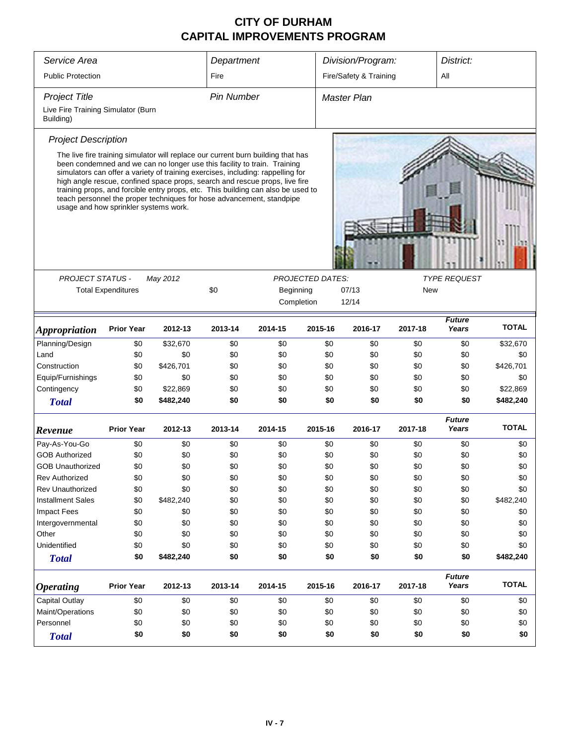| Service Area                                    |                           |           | Department        |                                                                                                                                                                                                                                                                                                                                                                                                                                                                                             |                         | Division/Program:      |         | District:              |              |
|-------------------------------------------------|---------------------------|-----------|-------------------|---------------------------------------------------------------------------------------------------------------------------------------------------------------------------------------------------------------------------------------------------------------------------------------------------------------------------------------------------------------------------------------------------------------------------------------------------------------------------------------------|-------------------------|------------------------|---------|------------------------|--------------|
| <b>Public Protection</b>                        |                           |           | Fire              |                                                                                                                                                                                                                                                                                                                                                                                                                                                                                             |                         | Fire/Safety & Training |         | All                    |              |
| <b>Project Title</b>                            |                           |           | <b>Pin Number</b> |                                                                                                                                                                                                                                                                                                                                                                                                                                                                                             |                         | <b>Master Plan</b>     |         |                        |              |
| Live Fire Training Simulator (Burn<br>Building) |                           |           |                   |                                                                                                                                                                                                                                                                                                                                                                                                                                                                                             |                         |                        |         |                        |              |
| <b>Project Description</b>                      |                           |           |                   |                                                                                                                                                                                                                                                                                                                                                                                                                                                                                             |                         |                        |         |                        |              |
| usage and how sprinkler systems work.           |                           |           |                   | The live fire training simulator will replace our current burn building that has<br>been condemned and we can no longer use this facility to train. Training<br>simulators can offer a variety of training exercises, including: rappelling for<br>high angle rescue, confined space props, search and rescue props, live fire<br>training props, and forcible entry props, etc. This building can also be used to<br>teach personnel the proper techniques for hose advancement, standpipe |                         |                        |         |                        |              |
|                                                 |                           |           |                   |                                                                                                                                                                                                                                                                                                                                                                                                                                                                                             |                         |                        |         |                        |              |
| <b>PROJECT STATUS -</b>                         |                           | May 2012  |                   |                                                                                                                                                                                                                                                                                                                                                                                                                                                                                             | <b>PROJECTED DATES:</b> |                        |         | <b>TYPE REQUEST</b>    |              |
|                                                 | <b>Total Expenditures</b> |           | \$0               | Beginning                                                                                                                                                                                                                                                                                                                                                                                                                                                                                   |                         | 07/13                  | New     |                        |              |
|                                                 |                           |           |                   |                                                                                                                                                                                                                                                                                                                                                                                                                                                                                             | Completion              | 12/14                  |         |                        |              |
|                                                 |                           |           |                   |                                                                                                                                                                                                                                                                                                                                                                                                                                                                                             |                         |                        |         | <b>Future</b>          |              |
| <i><b>Appropriation</b></i>                     | <b>Prior Year</b>         | 2012-13   | 2013-14           | 2014-15                                                                                                                                                                                                                                                                                                                                                                                                                                                                                     | 2015-16                 | 2016-17                | 2017-18 | Years                  | <b>TOTAL</b> |
| Planning/Design                                 | \$0                       | \$32,670  | \$0               | \$0                                                                                                                                                                                                                                                                                                                                                                                                                                                                                         | \$0                     | \$0                    | \$0     | \$0                    | \$32,670     |
| Land                                            | \$0                       | \$0       | \$0               | \$0                                                                                                                                                                                                                                                                                                                                                                                                                                                                                         | \$0                     | \$0                    | \$0     | \$0                    | \$0          |
| Construction                                    | \$0                       | \$426,701 | \$0               | \$0                                                                                                                                                                                                                                                                                                                                                                                                                                                                                         | \$0                     | \$0                    | \$0     | \$0                    | \$426,701    |
| Equip/Furnishings                               | \$0                       | \$0       | \$0               | \$0                                                                                                                                                                                                                                                                                                                                                                                                                                                                                         | \$0                     | \$0                    | \$0     | \$0                    | \$0          |
| Contingency                                     | \$0                       | \$22,869  | \$0               | \$0                                                                                                                                                                                                                                                                                                                                                                                                                                                                                         | \$0                     | \$0                    | \$0     | \$0                    | \$22,869     |
| <b>Total</b>                                    | \$0                       | \$482,240 | \$0               | \$0                                                                                                                                                                                                                                                                                                                                                                                                                                                                                         | \$0                     | \$0                    | \$0     | \$0                    | \$482,240    |
| Revenue                                         | <b>Prior Year</b>         | 2012-13   | 2013-14           | 2014-15                                                                                                                                                                                                                                                                                                                                                                                                                                                                                     | 2015-16                 | 2016-17                | 2017-18 | <b>Future</b><br>Years | <b>TOTAL</b> |
| Pay-As-You-Go                                   | \$0                       | \$0       | \$0               | \$0                                                                                                                                                                                                                                                                                                                                                                                                                                                                                         | \$0                     | \$0                    | \$0     | \$0                    | \$0          |
| <b>GOB Authorized</b>                           | \$0                       | \$0       | \$0               | \$0                                                                                                                                                                                                                                                                                                                                                                                                                                                                                         | \$0                     | \$0                    | \$0     | \$0                    | \$0          |
| <b>GOB Unauthorized</b>                         | \$0                       | \$0       | \$0               | \$0                                                                                                                                                                                                                                                                                                                                                                                                                                                                                         | \$0                     | \$0                    | \$0     | \$0                    | \$0          |
| Rev Authorized                                  | \$0                       | \$0       | \$0               | \$0                                                                                                                                                                                                                                                                                                                                                                                                                                                                                         | \$0                     | \$0                    | \$0     | \$0                    | \$0          |
| Rev Unauthorized                                | \$0                       | \$0       | \$0               | \$0                                                                                                                                                                                                                                                                                                                                                                                                                                                                                         | \$0                     | \$0                    | \$0     | \$0                    | \$0          |
| <b>Installment Sales</b>                        | \$0                       | \$482,240 | \$0               | \$0                                                                                                                                                                                                                                                                                                                                                                                                                                                                                         | \$0                     | \$0                    | \$0     | \$0                    | \$482,240    |
| <b>Impact Fees</b>                              | \$0                       | \$0       | \$0               | \$0                                                                                                                                                                                                                                                                                                                                                                                                                                                                                         | \$0                     | \$0                    | \$0     | \$0                    | \$0          |
| Intergovernmental                               | \$0                       | \$0       | \$0               | \$0                                                                                                                                                                                                                                                                                                                                                                                                                                                                                         | \$0                     | \$0                    | \$0     | \$0                    | \$0          |
| Other                                           | \$0                       | \$0       | \$0               | \$0                                                                                                                                                                                                                                                                                                                                                                                                                                                                                         | \$0                     | \$0                    | \$0     | \$0                    | \$0          |
| Unidentified                                    | \$0                       | \$0       | \$0               | \$0                                                                                                                                                                                                                                                                                                                                                                                                                                                                                         | \$0                     | \$0                    | \$0     | \$0                    | \$0          |
| <b>Total</b>                                    | \$0                       | \$482,240 | \$0               | \$0                                                                                                                                                                                                                                                                                                                                                                                                                                                                                         | \$0                     | \$0                    | \$0     | \$0                    | \$482,240    |
|                                                 |                           |           |                   |                                                                                                                                                                                                                                                                                                                                                                                                                                                                                             |                         |                        |         |                        |              |
| <b>Operating</b>                                | <b>Prior Year</b>         | 2012-13   | 2013-14           | 2014-15                                                                                                                                                                                                                                                                                                                                                                                                                                                                                     | 2015-16                 | 2016-17                | 2017-18 | <b>Future</b><br>Years | <b>TOTAL</b> |
| Capital Outlay                                  | \$0                       | \$0       | \$0               | \$0                                                                                                                                                                                                                                                                                                                                                                                                                                                                                         | \$0                     | \$0                    | \$0     | \$0                    | \$0          |
| Maint/Operations                                | \$0                       | \$0       | \$0               | \$0                                                                                                                                                                                                                                                                                                                                                                                                                                                                                         | \$0                     | \$0                    | \$0     | \$0                    | \$0          |
| Personnel                                       | \$0                       | \$0       | \$0               | \$0                                                                                                                                                                                                                                                                                                                                                                                                                                                                                         | \$0                     | \$0                    | \$0     | \$0                    | \$0          |
| <b>Total</b>                                    | \$0                       | \$0       | \$0               | \$0                                                                                                                                                                                                                                                                                                                                                                                                                                                                                         | \$0                     | \$0                    | \$0     | \$0                    | \$0          |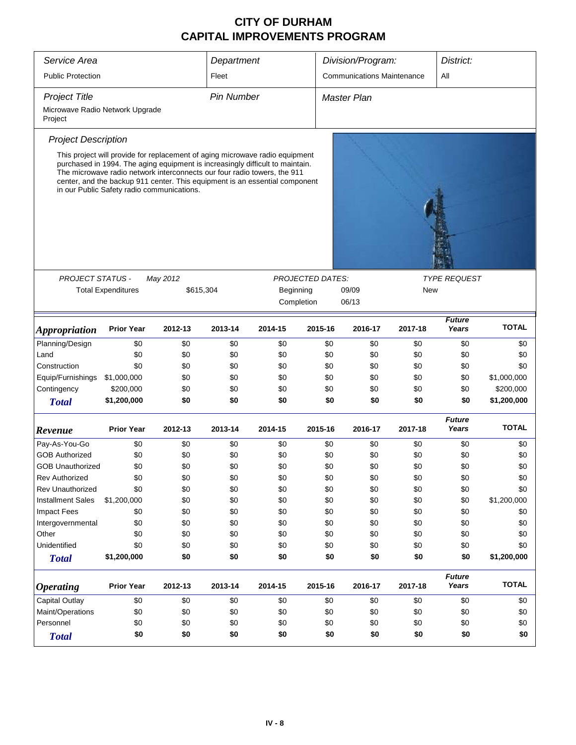| Service Area                               |                                                                                                                                                                                                                                                                                                                                                                        |           | Department        |           |                         | Division/Program:                 |         | District:              |              |  |
|--------------------------------------------|------------------------------------------------------------------------------------------------------------------------------------------------------------------------------------------------------------------------------------------------------------------------------------------------------------------------------------------------------------------------|-----------|-------------------|-----------|-------------------------|-----------------------------------|---------|------------------------|--------------|--|
| <b>Public Protection</b>                   |                                                                                                                                                                                                                                                                                                                                                                        |           | Fleet             |           |                         | <b>Communications Maintenance</b> |         | All                    |              |  |
| <b>Project Title</b>                       |                                                                                                                                                                                                                                                                                                                                                                        |           | <b>Pin Number</b> |           |                         | <b>Master Plan</b>                |         |                        |              |  |
| Microwave Radio Network Upgrade<br>Project |                                                                                                                                                                                                                                                                                                                                                                        |           |                   |           |                         |                                   |         |                        |              |  |
| <b>Project Description</b>                 |                                                                                                                                                                                                                                                                                                                                                                        |           |                   |           |                         |                                   |         |                        |              |  |
|                                            | This project will provide for replacement of aging microwave radio equipment<br>purchased in 1994. The aging equipment is increasingly difficult to maintain.<br>The microwave radio network interconnects our four radio towers, the 911<br>center, and the backup 911 center. This equipment is an essential component<br>in our Public Safety radio communications. |           |                   |           |                         |                                   |         |                        |              |  |
|                                            |                                                                                                                                                                                                                                                                                                                                                                        |           |                   |           |                         |                                   |         |                        |              |  |
| PROJECT STATUS -                           |                                                                                                                                                                                                                                                                                                                                                                        | May 2012  |                   |           | <b>PROJECTED DATES:</b> |                                   |         | <b>TYPE REQUEST</b>    |              |  |
|                                            | <b>Total Expenditures</b>                                                                                                                                                                                                                                                                                                                                              | \$615,304 |                   | Beginning |                         | 09/09                             | New     |                        |              |  |
|                                            |                                                                                                                                                                                                                                                                                                                                                                        |           |                   |           | Completion              | 06/13                             |         |                        |              |  |
| <i><b>Appropriation</b></i>                | <b>Prior Year</b>                                                                                                                                                                                                                                                                                                                                                      | 2012-13   | 2013-14           | 2014-15   | 2015-16                 | 2016-17                           | 2017-18 | <b>Future</b><br>Years | <b>TOTAL</b> |  |
| Planning/Design                            | \$0                                                                                                                                                                                                                                                                                                                                                                    | \$0       | \$0               | \$0       | \$0                     | \$0                               | \$0     | \$0                    | \$0          |  |
| Land                                       | \$0                                                                                                                                                                                                                                                                                                                                                                    | \$0       | \$0               | \$0       | \$0                     | \$0                               | \$0     | \$0                    | \$0          |  |
| Construction                               | \$0                                                                                                                                                                                                                                                                                                                                                                    | \$0       | \$0               | \$0       | \$0                     | \$0                               | \$0     | \$0                    | \$0          |  |
| Equip/Furnishings                          | \$1,000,000                                                                                                                                                                                                                                                                                                                                                            | \$0       | \$0               | \$0       | \$0                     | \$0                               | \$0     | \$0                    | \$1,000,000  |  |
| Contingency                                | \$200,000                                                                                                                                                                                                                                                                                                                                                              | \$0       | \$0               | \$0       | \$0                     | \$0                               | \$0     | \$0                    | \$200,000    |  |
| <b>Total</b>                               | \$1,200,000                                                                                                                                                                                                                                                                                                                                                            | \$0       | \$0               | \$0       | \$0                     | \$0                               | \$0     | \$0                    | \$1,200,000  |  |
| Revenue                                    | <b>Prior Year</b>                                                                                                                                                                                                                                                                                                                                                      | 2012-13   | 2013-14           | 2014-15   | 2015-16                 | 2016-17                           | 2017-18 | <b>Future</b><br>Years | <b>TOTAL</b> |  |
| Pay-As-You-Go                              | \$0                                                                                                                                                                                                                                                                                                                                                                    | \$0       | \$0               | \$0       | \$0                     | \$0                               | \$0     | \$0                    | \$0          |  |
| <b>GOB Authorized</b>                      | \$0                                                                                                                                                                                                                                                                                                                                                                    | \$0       | \$0               | \$0       | \$0                     | \$0                               | \$0     | \$0                    | \$0          |  |
| <b>GOB Unauthorized</b>                    | \$0                                                                                                                                                                                                                                                                                                                                                                    | \$0       | \$0               | \$0       | \$0                     | \$0                               | \$0     | \$0                    | \$0          |  |
| Rev Authorized                             | \$0                                                                                                                                                                                                                                                                                                                                                                    | \$0       | \$0               | \$0       | \$0                     | \$0                               | \$0     | \$0                    | \$0          |  |
| Rev Unauthorized                           | \$0                                                                                                                                                                                                                                                                                                                                                                    | \$0       | \$0               | \$0       | \$0                     | \$0                               | \$0     | \$0                    | \$0          |  |
| <b>Installment Sales</b>                   | \$1,200,000                                                                                                                                                                                                                                                                                                                                                            | \$0       | \$0               | \$0       | \$0                     | \$0                               | \$0     | \$0                    | \$1,200,000  |  |
| <b>Impact Fees</b>                         | \$0                                                                                                                                                                                                                                                                                                                                                                    | \$0       | \$0               | \$0       | \$0                     | \$0                               | \$0     | \$0                    | \$0          |  |
| Intergovernmental                          | \$0                                                                                                                                                                                                                                                                                                                                                                    | \$0       | \$0               | \$0       | \$0                     | \$0                               | \$0     | \$0                    | \$0          |  |
| Other                                      | \$0                                                                                                                                                                                                                                                                                                                                                                    | \$0       | \$0               | \$0       | \$0                     | \$0                               | \$0     | \$0                    | \$0          |  |
| Unidentified                               | \$0                                                                                                                                                                                                                                                                                                                                                                    | \$0       | \$0               | \$0       | \$0                     | \$0                               | \$0     | \$0                    | \$0          |  |
| <b>Total</b>                               | \$1,200,000                                                                                                                                                                                                                                                                                                                                                            | \$0       | \$0               | \$0       | \$0                     | \$0                               | \$0     | \$0                    | \$1,200,000  |  |
| <b>Operating</b>                           | <b>Prior Year</b>                                                                                                                                                                                                                                                                                                                                                      | 2012-13   | 2013-14           | 2014-15   | 2015-16                 | 2016-17                           | 2017-18 | <b>Future</b><br>Years | <b>TOTAL</b> |  |
| Capital Outlay                             | \$0                                                                                                                                                                                                                                                                                                                                                                    | \$0       | \$0               | \$0       | \$0                     | \$0                               | \$0     | \$0                    | \$0          |  |
| Maint/Operations                           | \$0                                                                                                                                                                                                                                                                                                                                                                    | \$0       | \$0               | \$0       | \$0                     | \$0                               | \$0     | \$0                    | \$0          |  |
| Personnel                                  | \$0                                                                                                                                                                                                                                                                                                                                                                    | \$0       | \$0               | \$0       | \$0                     | \$0                               | \$0     | \$0                    | \$0          |  |
| <b>Total</b>                               | \$0                                                                                                                                                                                                                                                                                                                                                                    | \$0       | \$0               | \$0       | \$0                     | \$0                               | \$0     | \$0                    | \$0          |  |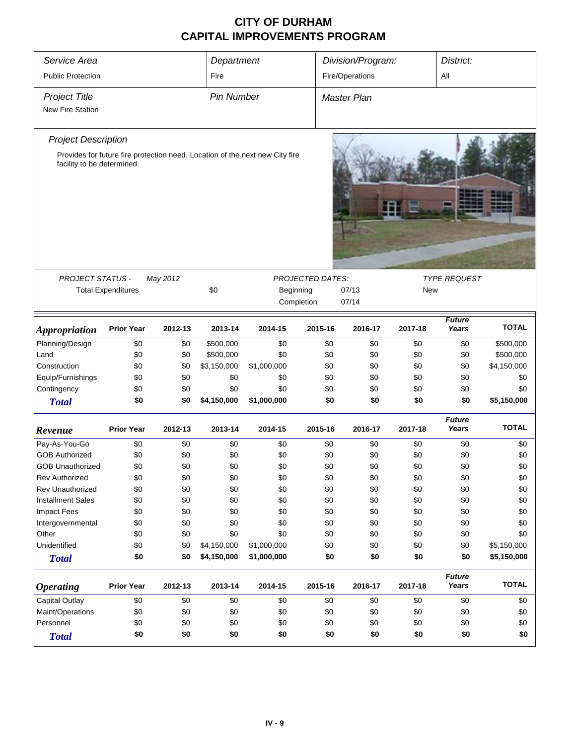| Service Area               |                           |          | Department        |                                                                              |                         | Division/Program:  |         | District:              |              |
|----------------------------|---------------------------|----------|-------------------|------------------------------------------------------------------------------|-------------------------|--------------------|---------|------------------------|--------------|
| <b>Public Protection</b>   |                           |          | Fire              |                                                                              |                         | Fire/Operations    |         | All                    |              |
| <b>Project Title</b>       |                           |          | <b>Pin Number</b> |                                                                              |                         | <b>Master Plan</b> |         |                        |              |
| <b>New Fire Station</b>    |                           |          |                   |                                                                              |                         |                    |         |                        |              |
|                            |                           |          |                   |                                                                              |                         |                    |         |                        |              |
| <b>Project Description</b> |                           |          |                   |                                                                              |                         |                    |         |                        |              |
| facility to be determined. |                           |          |                   | Provides for future fire protection need. Location of the next new City fire |                         |                    |         |                        |              |
|                            |                           |          |                   |                                                                              |                         |                    |         |                        |              |
| PROJECT STATUS -           |                           | May 2012 |                   |                                                                              | <b>PROJECTED DATES:</b> |                    |         | <b>TYPE REQUEST</b>    |              |
|                            | <b>Total Expenditures</b> |          | \$0               |                                                                              | Beginning               | 07/13              | New     |                        |              |
|                            |                           |          |                   |                                                                              | Completion              | 07/14              |         |                        |              |
| <b>Appropriation</b>       | <b>Prior Year</b>         | 2012-13  | 2013-14           | 2014-15                                                                      | 2015-16                 | 2016-17            | 2017-18 | <b>Future</b><br>Years | <b>TOTAL</b> |
| Planning/Design            | \$0                       | \$0      | \$500,000         | \$0                                                                          | \$0                     | \$0                | \$0     | \$0                    | \$500,000    |
| Land                       | \$0                       | \$0      | \$500,000         | \$0                                                                          | \$0                     | \$0                | \$0     | \$0                    | \$500,000    |
| Construction               | \$0                       | \$0      | \$3,150,000       | \$1,000,000                                                                  | \$0                     | \$0                | \$0     | \$0                    | \$4,150,000  |
| Equip/Furnishings          | \$0                       | \$0      | \$0               | \$0                                                                          | \$0                     | \$0                | \$0     | \$0                    | \$0          |
| Contingency                | \$0                       | \$0      | \$0               | \$0                                                                          | \$0                     | \$0                | \$0     | \$0                    | \$0          |
| <b>Total</b>               | \$0                       | \$0      | \$4,150,000       | \$1,000,000                                                                  | \$0                     | \$0                | \$0     | \$0                    | \$5,150,000  |
| Revenue                    | <b>Prior Year</b>         | 2012-13  | 2013-14           | 2014-15                                                                      | 2015-16                 | 2016-17            | 2017-18 | <b>Future</b><br>Years | <b>TOTAL</b> |
| Pay-As-You-Go              | \$0                       | \$0      | \$0               | \$0                                                                          | \$0                     | \$0                | \$0     | \$0                    | \$0          |
| <b>GOB Authorized</b>      | \$0                       | \$0      | \$0               | \$0                                                                          | \$0                     | \$0                | \$0     | \$0                    | \$0          |
| <b>GOB Unauthorized</b>    | \$0                       | \$0      | \$0               | \$0                                                                          | \$0                     | \$0                | \$0     | \$0                    | \$0          |
| <b>Rev Authorized</b>      | \$0                       | \$0      | \$0               | \$0                                                                          | \$0                     | \$0                | \$0     | \$0                    | \$0          |
| <b>Rev Unauthorized</b>    | \$0                       | \$0      | \$0               | \$0                                                                          | \$0                     | \$0                | \$0     | \$0                    | \$0          |
| <b>Installment Sales</b>   | \$0                       | \$0      | \$0               | \$0                                                                          | \$0                     | \$0                | \$0     | \$0                    | \$0          |
| <b>Impact Fees</b>         | \$0                       | \$0      | \$0               | \$0                                                                          | \$0                     | \$0                | \$0     | \$0                    | \$0          |
| Intergovernmental          | \$0                       | \$0      | \$0               | \$0                                                                          | \$0                     | \$0                | \$0     | \$0                    | \$0          |
| Other                      | \$0                       | \$0      | \$0               | \$0                                                                          | \$0                     | \$0                | \$0     | \$0                    | \$0          |
| Unidentified               | \$0                       | \$0      | \$4,150,000       | \$1,000,000                                                                  | \$0                     | \$0                | \$0     | \$0                    | \$5,150,000  |
| <b>Total</b>               | \$0                       | \$0      | \$4,150,000       | \$1,000,000                                                                  | \$0                     | \$0                | \$0     | \$0                    | \$5,150,000  |
| <b>Operating</b>           | <b>Prior Year</b>         | 2012-13  | 2013-14           | 2014-15                                                                      | 2015-16                 | 2016-17            | 2017-18 | <b>Future</b><br>Years | <b>TOTAL</b> |
| Capital Outlay             | \$0                       | \$0      | \$0               | \$0                                                                          | \$0                     | \$0                | \$0     | \$0                    | \$0          |
| Maint/Operations           | \$0                       | \$0      | \$0               | \$0                                                                          | \$0                     | \$0                | \$0     | \$0                    | \$0          |
| Personnel                  | \$0                       | \$0      | \$0               | \$0                                                                          | \$0                     | \$0                | \$0     | \$0                    | \$0          |
| <b>Total</b>               | \$0                       | \$0      | \$0               | \$0                                                                          | \$0                     | \$0                | \$0     | \$0                    | \$0          |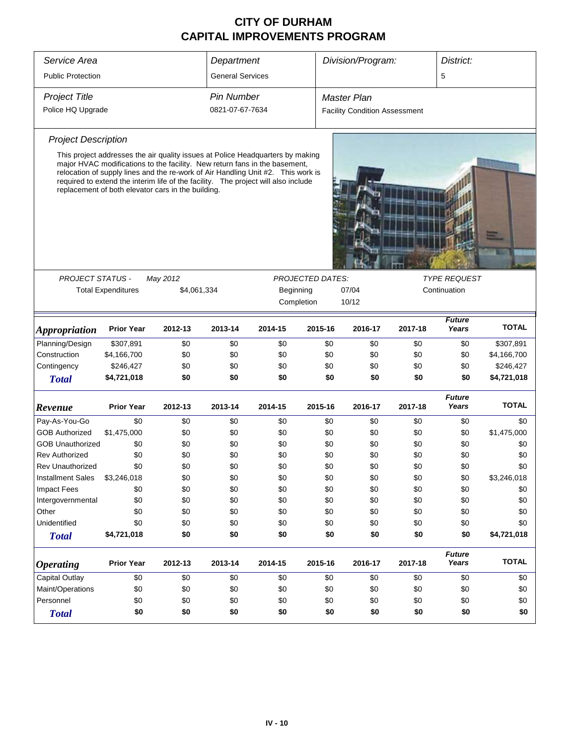| Service Area               | Department                |                                                                                                                                                                                                                                                                                                                                                                                              |                         | Division/Program:                  |                         | District:                            |         |                        |              |  |
|----------------------------|---------------------------|----------------------------------------------------------------------------------------------------------------------------------------------------------------------------------------------------------------------------------------------------------------------------------------------------------------------------------------------------------------------------------------------|-------------------------|------------------------------------|-------------------------|--------------------------------------|---------|------------------------|--------------|--|
| <b>Public Protection</b>   |                           |                                                                                                                                                                                                                                                                                                                                                                                              | <b>General Services</b> |                                    |                         |                                      |         | 5                      |              |  |
| <b>Project Title</b>       |                           |                                                                                                                                                                                                                                                                                                                                                                                              | <b>Pin Number</b>       |                                    |                         | Master Plan                          |         |                        |              |  |
| Police HQ Upgrade          |                           |                                                                                                                                                                                                                                                                                                                                                                                              | 0821-07-67-7634         |                                    |                         | <b>Facility Condition Assessment</b> |         |                        |              |  |
| <b>Project Description</b> |                           |                                                                                                                                                                                                                                                                                                                                                                                              |                         |                                    |                         |                                      |         |                        |              |  |
|                            |                           | This project addresses the air quality issues at Police Headquarters by making<br>major HVAC modifications to the facility. New return fans in the basement,<br>relocation of supply lines and the re-work of Air Handling Unit #2. This work is<br>required to extend the interim life of the facility. The project will also include<br>replacement of both elevator cars in the building. |                         |                                    |                         |                                      |         |                        |              |  |
| <b>PROJECT STATUS -</b>    |                           | May 2012                                                                                                                                                                                                                                                                                                                                                                                     |                         |                                    | <b>PROJECTED DATES:</b> |                                      |         | <b>TYPE REQUEST</b>    |              |  |
|                            | <b>Total Expenditures</b> | \$4,061,334                                                                                                                                                                                                                                                                                                                                                                                  |                         | Beginning<br>07/04<br>Continuation |                         |                                      |         |                        |              |  |
|                            |                           |                                                                                                                                                                                                                                                                                                                                                                                              |                         |                                    | Completion<br>10/12     |                                      |         |                        |              |  |
|                            |                           |                                                                                                                                                                                                                                                                                                                                                                                              |                         |                                    |                         |                                      |         |                        |              |  |
| <b>Appropriation</b>       | <b>Prior Year</b>         | 2012-13                                                                                                                                                                                                                                                                                                                                                                                      | 2013-14                 | 2014-15                            | 2015-16                 | 2016-17                              | 2017-18 | <b>Future</b><br>Years | <b>TOTAL</b> |  |
| Planning/Design            | \$307,891                 | \$0                                                                                                                                                                                                                                                                                                                                                                                          | \$0                     | \$0                                | \$0                     | \$0                                  | \$0     | \$0                    | \$307,891    |  |
| Construction               | \$4,166,700               | \$0                                                                                                                                                                                                                                                                                                                                                                                          | \$0                     | \$0                                | \$0                     | \$0                                  | \$0     | \$0                    | \$4,166,700  |  |
| Contingency                | \$246,427                 | \$0                                                                                                                                                                                                                                                                                                                                                                                          | \$0                     | \$0                                | \$0                     | \$0                                  | \$0     | \$0                    | \$246,427    |  |
| <b>Total</b>               | \$4,721,018               | \$0                                                                                                                                                                                                                                                                                                                                                                                          | \$0                     | \$0                                | \$0                     | \$0                                  | \$0     | \$0                    | \$4,721,018  |  |
| Revenue                    | <b>Prior Year</b>         | 2012-13                                                                                                                                                                                                                                                                                                                                                                                      | 2013-14                 | 2014-15                            | 2015-16                 | 2016-17                              | 2017-18 | <b>Future</b><br>Years | <b>TOTAL</b> |  |
| Pay-As-You-Go              | \$0                       | \$0                                                                                                                                                                                                                                                                                                                                                                                          | \$0                     | \$0                                | \$0                     | \$0                                  | \$0     | \$0                    | \$0          |  |
| <b>GOB Authorized</b>      | \$1,475,000               | \$0                                                                                                                                                                                                                                                                                                                                                                                          | \$0                     | \$0                                | \$0                     | \$0                                  | \$0     | \$0                    | \$1,475,000  |  |
| <b>GOB Unauthorized</b>    | \$0                       | \$0                                                                                                                                                                                                                                                                                                                                                                                          | \$0                     | \$0                                | \$0                     | \$0                                  | \$0     | \$0                    | \$0          |  |
| <b>Rev Authorized</b>      | \$0                       | \$0                                                                                                                                                                                                                                                                                                                                                                                          | \$0                     | \$0                                | \$0                     | \$0                                  | \$0     | \$0                    | \$0          |  |
| <b>Rev Unauthorized</b>    | \$0                       | \$0                                                                                                                                                                                                                                                                                                                                                                                          | \$0                     | \$0                                | \$0                     | \$0                                  | \$0     | \$0                    | \$0          |  |
| <b>Installment Sales</b>   | \$3,246,018               | \$0                                                                                                                                                                                                                                                                                                                                                                                          | \$0                     | \$0                                | \$0                     | \$0                                  | \$0     | \$0                    | \$3,246,018  |  |
| <b>Impact Fees</b>         | \$0                       | \$0                                                                                                                                                                                                                                                                                                                                                                                          | \$0                     | \$0                                | \$0                     | \$0                                  | \$0     | \$0                    | \$0          |  |
| Intergovernmental          | \$0                       | \$0                                                                                                                                                                                                                                                                                                                                                                                          | \$0                     | \$0                                | \$0                     | \$0                                  | \$0     | \$0                    | \$0          |  |
| Other                      | \$0                       | \$0                                                                                                                                                                                                                                                                                                                                                                                          | \$0                     | \$0                                | \$0                     | \$0                                  | \$0     | \$0                    | \$0          |  |
| Unidentified               | \$0                       | \$0                                                                                                                                                                                                                                                                                                                                                                                          | \$0                     | \$0                                | \$0                     | \$0                                  | \$0     | \$0                    | \$0          |  |
| <b>Total</b>               | \$4,721,018               | \$0                                                                                                                                                                                                                                                                                                                                                                                          | \$0                     | \$0                                | \$0                     | \$0                                  | \$0     | \$0                    | \$4,721,018  |  |
| <b>Operating</b>           | <b>Prior Year</b>         | 2012-13                                                                                                                                                                                                                                                                                                                                                                                      | 2013-14                 | 2014-15                            | 2015-16                 | 2016-17                              | 2017-18 | <b>Future</b><br>Years | <b>TOTAL</b> |  |
| Capital Outlay             | \$0                       | \$0                                                                                                                                                                                                                                                                                                                                                                                          | \$0                     | \$0                                | \$0                     | \$0                                  | \$0     | \$0                    | \$0          |  |
| Maint/Operations           | \$0                       | \$0                                                                                                                                                                                                                                                                                                                                                                                          | \$0                     | \$0                                | \$0                     | \$0                                  | \$0     | \$0                    | \$0          |  |
| Personnel                  | \$0                       | \$0                                                                                                                                                                                                                                                                                                                                                                                          | \$0                     | \$0                                | \$0                     | \$0                                  | \$0     | \$0                    | \$0          |  |
| <b>Total</b>               | \$0                       | \$0                                                                                                                                                                                                                                                                                                                                                                                          | \$0                     | \$0                                | \$0                     | \$0                                  | \$0     | \$0                    | \$0          |  |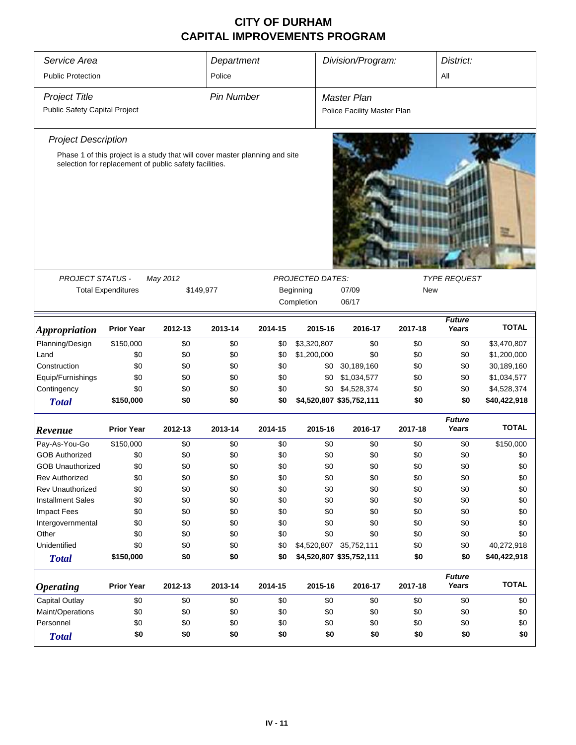| Service Area                  |                           |                                                                             | Department        |         |                         | Division/Program:           |         |                        |              |
|-------------------------------|---------------------------|-----------------------------------------------------------------------------|-------------------|---------|-------------------------|-----------------------------|---------|------------------------|--------------|
| <b>Public Protection</b>      |                           |                                                                             | Police            |         |                         |                             |         | All                    |              |
| <b>Project Title</b>          |                           |                                                                             | <b>Pin Number</b> |         |                         | <b>Master Plan</b>          |         |                        |              |
| Public Safety Capital Project |                           |                                                                             |                   |         |                         | Police Facility Master Plan |         |                        |              |
| <b>Project Description</b>    |                           |                                                                             |                   |         |                         |                             |         |                        |              |
|                               |                           | Phase 1 of this project is a study that will cover master planning and site |                   |         |                         |                             |         |                        |              |
|                               |                           | selection for replacement of public safety facilities.                      |                   |         |                         |                             |         |                        |              |
| <b>PROJECT STATUS -</b>       |                           | May 2012                                                                    |                   |         | <b>PROJECTED DATES:</b> |                             |         | <b>TYPE REQUEST</b>    |              |
|                               | <b>Total Expenditures</b> | \$149,977                                                                   |                   |         | Beginning               | 07/09<br><b>New</b>         |         |                        |              |
|                               |                           |                                                                             |                   |         | Completion              | 06/17                       |         |                        |              |
| <i><b>Appropriation</b></i>   | <b>Prior Year</b>         | 2012-13                                                                     | 2013-14           | 2014-15 | 2015-16                 | 2016-17                     | 2017-18 | <b>Future</b><br>Years | <b>TOTAL</b> |
| Planning/Design               | \$150,000                 | \$0                                                                         | \$0               | \$0     | \$3,320,807             | \$0                         | \$0     | \$0                    | \$3,470,807  |
| Land                          | \$0                       | \$0                                                                         | \$0               | \$0     | \$1,200,000             | \$0                         | \$0     | \$0                    | \$1,200,000  |
| Construction                  | \$0                       | \$0                                                                         | \$0               | \$0     | \$0                     | 30,189,160                  | \$0     | \$0                    | 30,189,160   |
| Equip/Furnishings             | \$0                       | \$0                                                                         | \$0               | \$0     | \$0                     | \$1,034,577                 | \$0     | \$0                    | \$1,034,577  |
| Contingency                   | \$0                       | \$0                                                                         | \$0               | \$0     |                         | \$0 \$4,528,374             | \$0     | \$0                    | \$4,528,374  |
| <b>Total</b>                  | \$150,000                 | \$0                                                                         | \$0               | \$0     |                         | \$4,520,807 \$35,752,111    | \$0     | \$0                    | \$40,422,918 |
| Revenue                       | <b>Prior Year</b>         | 2012-13                                                                     | 2013-14           | 2014-15 | 2015-16                 | 2016-17                     | 2017-18 | <b>Future</b><br>Years | <b>TOTAL</b> |
| Pay-As-You-Go                 | \$150,000                 | \$0                                                                         | \$0               | \$0     | \$0                     | \$0                         | \$0     | \$0                    | \$150,000    |
| <b>GOB Authorized</b>         | \$0                       | \$0                                                                         | \$0               | \$0     | \$0                     | \$0                         | \$0     | \$0                    | \$0          |
| <b>GOB Unauthorized</b>       | \$0                       | \$0                                                                         | \$0               | \$0     | \$0                     | \$0                         | \$0     | \$0                    | \$0          |
| <b>Rev Authorized</b>         | \$0                       | \$0                                                                         | \$0               | \$0     | \$0                     | \$0                         | \$0     | \$0                    | \$0          |
| Rev Unauthorized              | \$0                       | \$0                                                                         | \$0               | \$0     | \$0                     | \$0                         | \$0     | \$0                    | \$0          |
| <b>Installment Sales</b>      | \$0                       | \$0                                                                         | \$0               | \$0     | \$0                     | \$0                         | \$0     | \$0                    | \$0          |
| Impact Fees                   | \$0                       | \$0                                                                         | \$0               | \$0     | \$0                     | \$0                         | \$0     | \$0                    | \$0          |
| Intergovernmental             | \$0                       | \$0                                                                         | \$0               | \$0     | \$0                     | \$0                         | \$0     | \$0                    | \$0          |
| Other                         | \$0                       | \$0                                                                         | \$0               | \$0     | \$0                     | \$0                         | \$0     | \$0                    | \$0          |
| Unidentified                  | \$0                       | \$0                                                                         | \$0               | \$0     |                         | \$4,520,807 35,752,111      | \$0     | \$0                    | 40,272,918   |
| <b>Total</b>                  | \$150,000                 | \$0                                                                         | \$0               | \$0     |                         | \$4,520,807 \$35,752,111    | \$0     | \$0                    | \$40,422,918 |
| <b>Operating</b>              | <b>Prior Year</b>         | 2012-13                                                                     | 2013-14           | 2014-15 | 2015-16                 | 2016-17                     | 2017-18 | <b>Future</b><br>Years | <b>TOTAL</b> |
| Capital Outlay                | \$0                       | \$0                                                                         | \$0               | \$0     | \$0                     | \$0                         | \$0     | \$0                    | \$0          |
| Maint/Operations              | \$0                       | \$0                                                                         | \$0               | \$0     | \$0                     | \$0                         | \$0     | \$0                    | \$0          |
| Personnel                     | \$0                       | \$0                                                                         | \$0               | \$0     | \$0                     | \$0                         | \$0     | \$0                    | \$0          |
| <b>Total</b>                  | \$0                       | \$0                                                                         | \$0               | \$0     | \$0                     | \$0                         | \$0     | \$0                    | \$0          |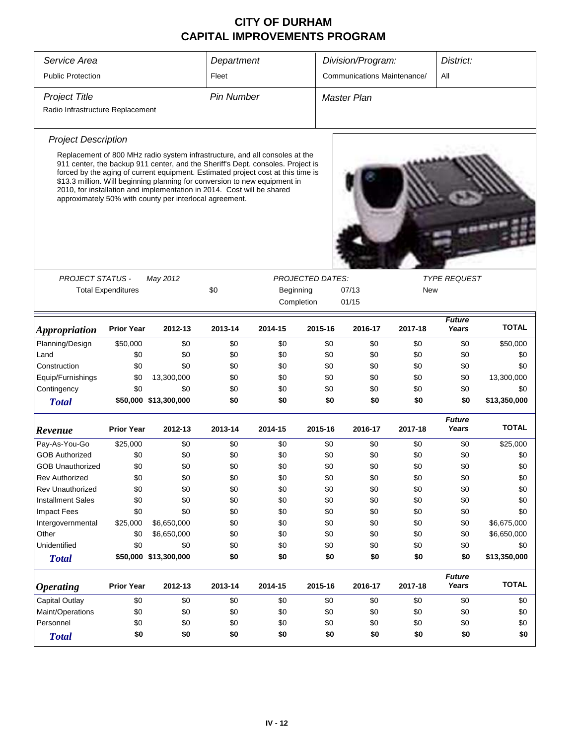| Service Area                                                                                                                                                                                                                                                                                                                                                                                                                                                          |                         |                       | Department       |                    |         | Division/Program:           |            | District:              |              |  |
|-----------------------------------------------------------------------------------------------------------------------------------------------------------------------------------------------------------------------------------------------------------------------------------------------------------------------------------------------------------------------------------------------------------------------------------------------------------------------|-------------------------|-----------------------|------------------|--------------------|---------|-----------------------------|------------|------------------------|--------------|--|
|                                                                                                                                                                                                                                                                                                                                                                                                                                                                       |                         |                       |                  |                    |         |                             |            |                        |              |  |
| <b>Public Protection</b>                                                                                                                                                                                                                                                                                                                                                                                                                                              |                         |                       | Fleet            |                    |         | Communications Maintenance/ |            | All                    |              |  |
| <b>Project Title</b>                                                                                                                                                                                                                                                                                                                                                                                                                                                  | <b>Pin Number</b>       |                       |                  | <b>Master Plan</b> |         |                             |            |                        |              |  |
| Radio Infrastructure Replacement                                                                                                                                                                                                                                                                                                                                                                                                                                      |                         |                       |                  |                    |         |                             |            |                        |              |  |
| <b>Project Description</b>                                                                                                                                                                                                                                                                                                                                                                                                                                            |                         |                       |                  |                    |         |                             |            |                        |              |  |
|                                                                                                                                                                                                                                                                                                                                                                                                                                                                       |                         |                       |                  |                    |         |                             |            |                        |              |  |
| Replacement of 800 MHz radio system infrastructure, and all consoles at the<br>911 center, the backup 911 center, and the Sheriff's Dept. consoles. Project is<br>forced by the aging of current equipment. Estimated project cost at this time is<br>\$13.3 million. Will beginning planning for conversion to new equipment in<br>2010, for installation and implementation in 2014. Cost will be shared<br>approximately 50% with county per interlocal agreement. |                         |                       |                  |                    |         |                             |            |                        |              |  |
|                                                                                                                                                                                                                                                                                                                                                                                                                                                                       |                         |                       |                  |                    |         |                             |            |                        |              |  |
| <b>PROJECT STATUS -</b>                                                                                                                                                                                                                                                                                                                                                                                                                                               | <b>PROJECTED DATES:</b> |                       |                  |                    |         | <b>TYPE REQUEST</b>         |            |                        |              |  |
| May 2012<br><b>Total Expenditures</b>                                                                                                                                                                                                                                                                                                                                                                                                                                 |                         |                       | \$0<br>Beginning |                    |         | 07/13                       | <b>New</b> |                        |              |  |
|                                                                                                                                                                                                                                                                                                                                                                                                                                                                       |                         |                       |                  | Completion         |         | 01/15                       |            |                        |              |  |
| <b>Appropriation</b>                                                                                                                                                                                                                                                                                                                                                                                                                                                  | <b>Prior Year</b>       | 2012-13               | 2013-14          | 2014-15            | 2015-16 | 2016-17                     | 2017-18    | <b>Future</b><br>Years | <b>TOTAL</b> |  |
| Planning/Design                                                                                                                                                                                                                                                                                                                                                                                                                                                       | \$50,000                | \$0                   | \$0              | \$0                | \$0     | \$0                         | \$0        | \$0                    | \$50,000     |  |
| Land                                                                                                                                                                                                                                                                                                                                                                                                                                                                  | \$0                     | \$0                   | \$0              | \$0                | \$0     | \$0                         | \$0        | \$0                    | \$0          |  |
| Construction                                                                                                                                                                                                                                                                                                                                                                                                                                                          | \$0                     | \$0                   | \$0              | \$0                | \$0     | \$0                         | \$0        | \$0                    | \$0          |  |
| Equip/Furnishings                                                                                                                                                                                                                                                                                                                                                                                                                                                     | \$0                     | 13,300,000            | \$0              | \$0                | \$0     | \$0                         | \$0        | \$0                    | 13,300,000   |  |
| Contingency                                                                                                                                                                                                                                                                                                                                                                                                                                                           | \$0                     | \$0                   | \$0              | \$0                | \$0     | \$0                         | \$0        | \$0                    | \$0          |  |
| <b>Total</b>                                                                                                                                                                                                                                                                                                                                                                                                                                                          |                         | \$50,000 \$13,300,000 | \$0              | \$0                | \$0     | \$0                         | \$0        | \$0                    | \$13,350,000 |  |
| Revenue                                                                                                                                                                                                                                                                                                                                                                                                                                                               | <b>Prior Year</b>       | 2012-13               | 2013-14          | 2014-15            | 2015-16 | 2016-17                     | 2017-18    | <b>Future</b><br>Years | <b>TOTAL</b> |  |
| Pay-As-You-Go                                                                                                                                                                                                                                                                                                                                                                                                                                                         | \$25,000                | \$0                   | \$0              | \$0                | \$0     | \$0                         | \$0        | \$0                    | \$25,000     |  |
| <b>GOB Authorized</b>                                                                                                                                                                                                                                                                                                                                                                                                                                                 | \$0                     | \$0                   | \$0              | \$0                | \$0     | \$0                         | \$0        | \$0                    | \$0          |  |
| <b>GOB Unauthorized</b>                                                                                                                                                                                                                                                                                                                                                                                                                                               | \$0                     | \$0                   | \$0              | \$0                | \$0     | \$0                         | \$0        | \$0                    | \$0          |  |
| <b>Rev Authorized</b>                                                                                                                                                                                                                                                                                                                                                                                                                                                 | \$0                     | \$0                   | \$0              | \$0                | \$0     | \$0                         | \$0        | \$0                    | \$0          |  |
| <b>Rev Unauthorized</b>                                                                                                                                                                                                                                                                                                                                                                                                                                               | \$0                     | \$0                   | \$0              | \$0                | \$0     | \$0                         | \$0        | \$0                    | \$0          |  |
| <b>Installment Sales</b>                                                                                                                                                                                                                                                                                                                                                                                                                                              | \$0                     | \$0                   | \$0              | \$0                | \$0     | \$0                         | \$0        | \$0                    | \$0          |  |
| <b>Impact Fees</b>                                                                                                                                                                                                                                                                                                                                                                                                                                                    | \$0                     | \$0                   | \$0              | \$0                | \$0     | \$0                         | \$0        | \$0                    | \$0          |  |
| Intergovernmental                                                                                                                                                                                                                                                                                                                                                                                                                                                     | \$25,000                | \$6,650,000           | \$0              | \$0                | \$0     | \$0                         | \$0        | \$0                    | \$6,675,000  |  |
| Other                                                                                                                                                                                                                                                                                                                                                                                                                                                                 | \$0                     | \$6,650,000           | \$0              | \$0                | \$0     | \$0                         | \$0        | \$0                    | \$6,650,000  |  |
| Unidentified                                                                                                                                                                                                                                                                                                                                                                                                                                                          | \$0                     | \$0                   | \$0              | \$0                | \$0     | \$0                         | \$0        | \$0                    | \$0          |  |
| <b>Total</b>                                                                                                                                                                                                                                                                                                                                                                                                                                                          |                         | \$50,000 \$13,300,000 | \$0              | \$0                | \$0     | \$0                         | \$0        | \$0                    | \$13,350,000 |  |
| <b>Operating</b>                                                                                                                                                                                                                                                                                                                                                                                                                                                      | <b>Prior Year</b>       | 2012-13               | 2013-14          | 2014-15            | 2015-16 | 2016-17                     | 2017-18    | <b>Future</b><br>Years | <b>TOTAL</b> |  |
| Capital Outlay                                                                                                                                                                                                                                                                                                                                                                                                                                                        | \$0                     | \$0                   | \$0              | \$0                | \$0     | \$0                         | \$0        | \$0                    | \$0          |  |
| Maint/Operations                                                                                                                                                                                                                                                                                                                                                                                                                                                      | \$0                     | \$0                   | \$0              | \$0                | \$0     | \$0                         | \$0        | \$0                    | \$0          |  |
| Personnel                                                                                                                                                                                                                                                                                                                                                                                                                                                             | \$0                     | \$0                   | \$0              | \$0                | \$0     | \$0                         | \$0        | \$0                    | \$0          |  |
| <b>Total</b>                                                                                                                                                                                                                                                                                                                                                                                                                                                          | \$0                     | \$0                   | \$0              | \$0                | \$0     | \$0                         | \$0        | \$0                    | \$0          |  |